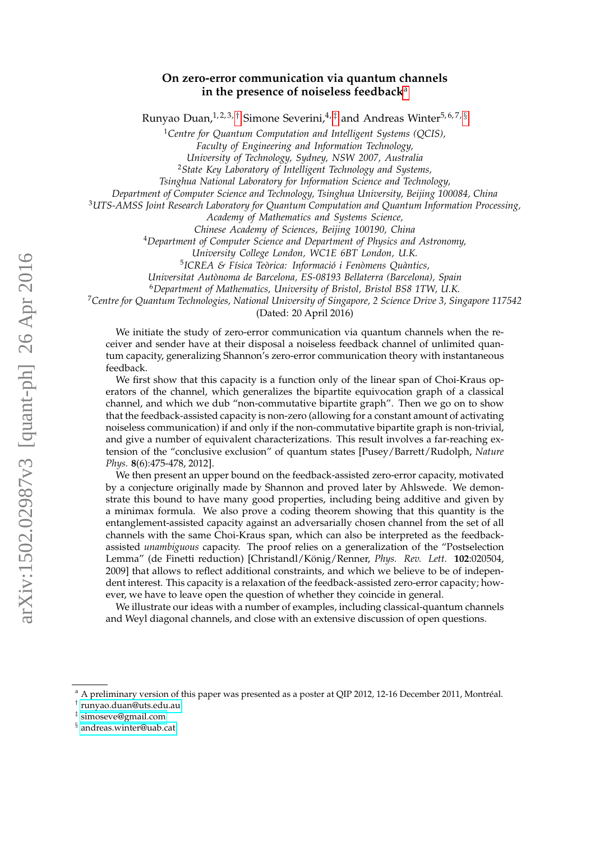# **On zero-error communication via quantum channels in the presence of noiseless feedback**[a](#page-0-0)

Runyao Duan,  $1, 2, 3, \dagger$  Simone Severini,  $4, \dagger$  and Andreas Winter  $5, 6, 7, \dagger$ 

<sup>1</sup>*Centre for Quantum Computation and Intelligent Systems (QCIS),*

*Faculty of Engineering and Information Technology,*

*University of Technology, Sydney, NSW 2007, Australia*

<sup>2</sup>*State Key Laboratory of Intelligent Technology and Systems,*

*Tsinghua National Laboratory for Information Science and Technology,*

*Department of Computer Science and Technology, Tsinghua University, Beijing 100084, China*

<sup>3</sup>*UTS-AMSS Joint Research Laboratory for Quantum Computation and Quantum Information Processing,*

*Academy of Mathematics and Systems Science,*

*Chinese Academy of Sciences, Beijing 100190, China*

<sup>4</sup>*Department of Computer Science and Department of Physics and Astronomy,*

*University College London, WC1E 6BT London, U.K.*

<sup>5</sup>ICREA & Física Teòrica: Informació i Fenòmens Quàntics,

*Universitat Aut`onoma de Barcelona, ES-08193 Bellaterra (Barcelona), Spain*

<sup>6</sup>*Department of Mathematics, University of Bristol, Bristol BS8 1TW, U.K.*

<sup>7</sup>*Centre for Quantum Technologies, National University of Singapore, 2 Science Drive 3, Singapore 117542*

(Dated: 20 April 2016)

We initiate the study of zero-error communication via quantum channels when the receiver and sender have at their disposal a noiseless feedback channel of unlimited quantum capacity, generalizing Shannon's zero-error communication theory with instantaneous feedback.

We first show that this capacity is a function only of the linear span of Choi-Kraus operators of the channel, which generalizes the bipartite equivocation graph of a classical channel, and which we dub "non-commutative bipartite graph". Then we go on to show that the feedback-assisted capacity is non-zero (allowing for a constant amount of activating noiseless communication) if and only if the non-commutative bipartite graph is non-trivial, and give a number of equivalent characterizations. This result involves a far-reaching extension of the "conclusive exclusion" of quantum states [Pusey/Barrett/Rudolph, *Nature Phys.* **8**(6):475-478, 2012].

We then present an upper bound on the feedback-assisted zero-error capacity, motivated by a conjecture originally made by Shannon and proved later by Ahlswede. We demonstrate this bound to have many good properties, including being additive and given by a minimax formula. We also prove a coding theorem showing that this quantity is the entanglement-assisted capacity against an adversarially chosen channel from the set of all channels with the same Choi-Kraus span, which can also be interpreted as the feedbackassisted *unambiguous* capacity. The proof relies on a generalization of the "Postselection Lemma" (de Finetti reduction) [Christandl/König/Renner, *Phys. Rev. Lett.* **102**:020504, 2009] that allows to reflect additional constraints, and which we believe to be of independent interest. This capacity is a relaxation of the feedback-assisted zero-error capacity; however, we have to leave open the question of whether they coincide in general.

We illustrate our ideas with a number of examples, including classical-quantum channels and Weyl diagonal channels, and close with an extensive discussion of open questions.

<span id="page-0-0"></span><sup>a</sup> A preliminary version of this paper was presented as a poster at QIP 2012, 12-16 December 2011, Montréal.

<span id="page-0-1"></span>† [runyao.duan@uts.edu.au](mailto:runyao.duan@uts.edu.au)

<span id="page-0-2"></span><sup>‡</sup> [simoseve@gmail.com](mailto:simoseve@gmail.com)

<span id="page-0-3"></span><sup>§</sup> [andreas.winter@uab.cat](mailto:andreas.winter@uab.cat)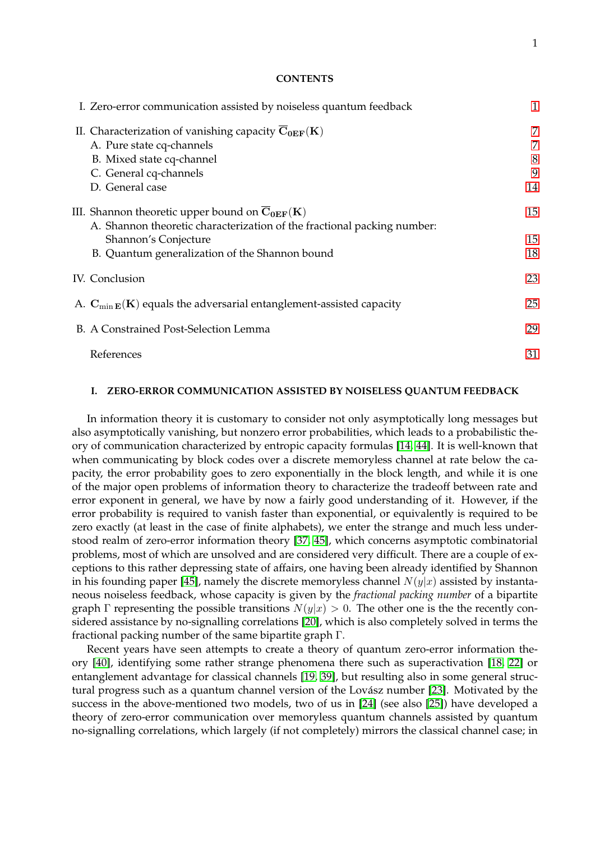# **CONTENTS**

| I. Zero-error communication assisted by noiseless quantum feedback                                  | 1  |
|-----------------------------------------------------------------------------------------------------|----|
| II. Characterization of vanishing capacity $\overline{C_{0EF}}(K)$                                  | 7  |
| A. Pure state cq-channels                                                                           | 7  |
| B. Mixed state cq-channel                                                                           | 8  |
| C. General cq-channels                                                                              | 9  |
| D. General case                                                                                     | 14 |
| III. Shannon theoretic upper bound on $\overline{C}_{0EF}(K)$                                       | 15 |
| A. Shannon theoretic characterization of the fractional packing number:                             |    |
| Shannon's Conjecture                                                                                | 15 |
| B. Quantum generalization of the Shannon bound                                                      | 18 |
| IV. Conclusion                                                                                      | 23 |
| A. $\mathbf{C}_{\min \mathbf{E}}(\mathbf{K})$ equals the adversarial entanglement-assisted capacity | 25 |
| B. A Constrained Post-Selection Lemma                                                               | 29 |
| References                                                                                          | 31 |

# <span id="page-1-0"></span>**I. ZERO-ERROR COMMUNICATION ASSISTED BY NOISELESS QUANTUM FEEDBACK**

In information theory it is customary to consider not only asymptotically long messages but also asymptotically vanishing, but nonzero error probabilities, which leads to a probabilistic theory of communication characterized by entropic capacity formulas [\[14,](#page-31-1) [44\]](#page-32-0). It is well-known that when communicating by block codes over a discrete memoryless channel at rate below the capacity, the error probability goes to zero exponentially in the block length, and while it is one of the major open problems of information theory to characterize the tradeoff between rate and error exponent in general, we have by now a fairly good understanding of it. However, if the error probability is required to vanish faster than exponential, or equivalently is required to be zero exactly (at least in the case of finite alphabets), we enter the strange and much less understood realm of zero-error information theory [\[37,](#page-32-1) [45\]](#page-32-2), which concerns asymptotic combinatorial problems, most of which are unsolved and are considered very difficult. There are a couple of exceptions to this rather depressing state of affairs, one having been already identified by Shannon in his founding paper [\[45\]](#page-32-2), namely the discrete memoryless channel  $N(y|x)$  assisted by instantaneous noiseless feedback, whose capacity is given by the *fractional packing number* of a bipartite graph Γ representing the possible transitions  $N(y|x) > 0$ . The other one is the the recently considered assistance by no-signalling correlations [\[20\]](#page-31-2), which is also completely solved in terms the fractional packing number of the same bipartite graph Γ.

Recent years have seen attempts to create a theory of quantum zero-error information theory [\[40\]](#page-32-3), identifying some rather strange phenomena there such as superactivation [\[18,](#page-31-3) [22\]](#page-32-4) or entanglement advantage for classical channels [\[19,](#page-31-4) [39\]](#page-32-5), but resulting also in some general struc-tural progress such as a quantum channel version of the Lovász number [\[23\]](#page-32-6). Motivated by the success in the above-mentioned two models, two of us in [\[24\]](#page-32-7) (see also [\[25\]](#page-32-8)) have developed a theory of zero-error communication over memoryless quantum channels assisted by quantum no-signalling correlations, which largely (if not completely) mirrors the classical channel case; in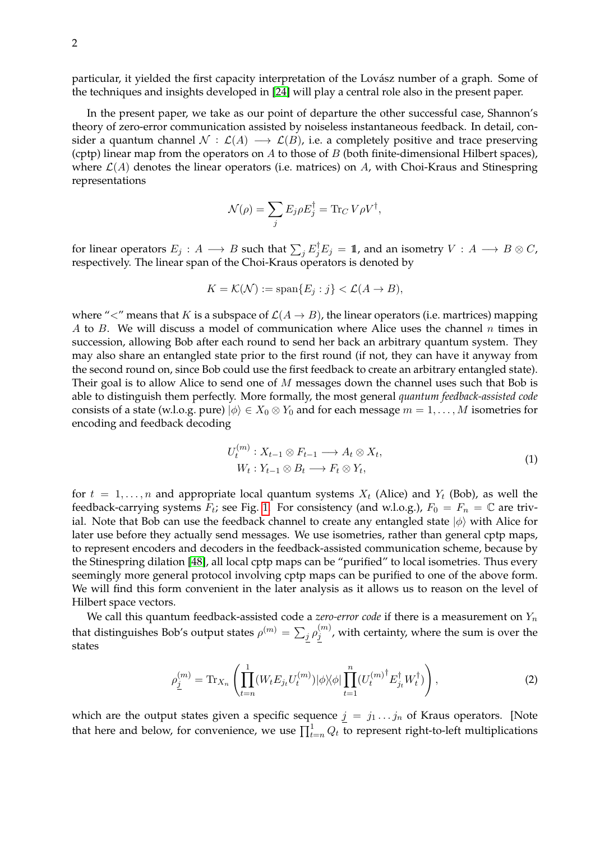particular, it yielded the first capacity interpretation of the Lovász number of a graph. Some of the techniques and insights developed in [\[24\]](#page-32-7) will play a central role also in the present paper.

In the present paper, we take as our point of departure the other successful case, Shannon's theory of zero-error communication assisted by noiseless instantaneous feedback. In detail, consider a quantum channel  $\mathcal{N} : \mathcal{L}(A) \longrightarrow \mathcal{L}(B)$ , i.e. a completely positive and trace preserving (cptp) linear map from the operators on  $A$  to those of  $B$  (both finite-dimensional Hilbert spaces), where  $\mathcal{L}(A)$  denotes the linear operators (i.e. matrices) on A, with Choi-Kraus and Stinespring representations

$$
\mathcal{N}(\rho) = \sum_j E_j \rho E_j^{\dagger} = \text{Tr}_C V \rho V^{\dagger},
$$

for linear operators  $E_j: A \longrightarrow B$  such that  $\sum_j E_j^\dagger E_j = 1\!\!1$ , and an isometry  $V: A \longrightarrow B\otimes C,$ respectively. The linear span of the Choi-Kraus operators is denoted by

$$
K = \mathcal{K}(\mathcal{N}) := \text{span}\{E_j : j\} < \mathcal{L}(A \to B),
$$

where " $\lt'$ " means that K is a subspace of  $\mathcal{L}(A \to B)$ , the linear operators (i.e. martrices) mapping A to B. We will discuss a model of communication where Alice uses the channel n times in succession, allowing Bob after each round to send her back an arbitrary quantum system. They may also share an entangled state prior to the first round (if not, they can have it anyway from the second round on, since Bob could use the first feedback to create an arbitrary entangled state). Their goal is to allow Alice to send one of M messages down the channel uses such that Bob is able to distinguish them perfectly. More formally, the most general *quantum feedback-assisted code* consists of a state (w.l.o.g. pure)  $|\phi\rangle \in X_0 \otimes Y_0$  and for each message  $m = 1, ..., M$  isometries for encoding and feedback decoding

$$
U_t^{(m)}: X_{t-1} \otimes F_{t-1} \longrightarrow A_t \otimes X_t,
$$
  
\n
$$
W_t: Y_{t-1} \otimes B_t \longrightarrow F_t \otimes Y_t,
$$
\n(1)

<span id="page-2-0"></span>for  $t = 1, \ldots, n$  and appropriate local quantum systems  $X_t$  (Alice) and  $Y_t$  (Bob), as well the feedback-carrying systems  $F_t$ ; see Fig. [1.](#page-3-0) For consistency (and w.l.o.g.),  $F_0 = F_n = \mathbb{C}$  are trivial. Note that Bob can use the feedback channel to create any entangled state  $|\phi\rangle$  with Alice for later use before they actually send messages. We use isometries, rather than general cptp maps, to represent encoders and decoders in the feedback-assisted communication scheme, because by the Stinespring dilation [\[48\]](#page-33-0), all local cptp maps can be "purified" to local isometries. Thus every seemingly more general protocol involving cptp maps can be purified to one of the above form. We will find this form convenient in the later analysis as it allows us to reason on the level of Hilbert space vectors.

We call this quantum feedback-assisted code a *zero-error code* if there is a measurement on  $Y_n$ that distinguishes Bob's output states  $\rho^{(m)} = \sum_j \rho_j^{(m)}$  $j_j^{(m)}$ , with certainty, where the sum is over the states

<span id="page-2-1"></span>
$$
\rho_{\underline{j}}^{(m)} = \text{Tr}_{X_n} \left( \prod_{t=n}^{1} (W_t E_{j_t} U_t^{(m)}) |\phi\rangle\langle\phi| \prod_{t=1}^{n} (U_t^{(m)^\dagger} E_{j_t}^\dagger W_t^\dagger) \right), \tag{2}
$$

which are the output states given a specific sequence  $j = j_1 \dots j_n$  of Kraus operators. [Note that here and below, for convenience, we use  $\prod_{t=n}^{1} Q_t$  to represent right-to-left multiplications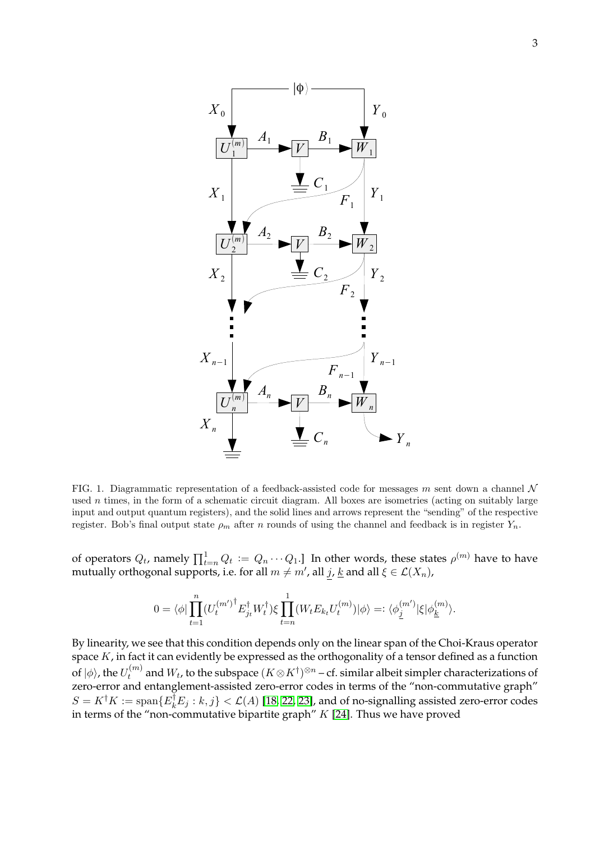

<span id="page-3-0"></span>FIG. 1. Diagrammatic representation of a feedback-assisted code for messages m sent down a channel  $\mathcal N$ used  $n$  times, in the form of a schematic circuit diagram. All boxes are isometries (acting on suitably large input and output quantum registers), and the solid lines and arrows represent the "sending" of the respective register. Bob's final output state  $\rho_m$  after n rounds of using the channel and feedback is in register  $Y_n$ .

of operators  $Q_t$ , namely  $\prod_{t=n}^1 Q_t := Q_n \cdots Q_1$ .] In other words, these states  $\rho^{(m)}$  have to have mutually orthogonal supports, i.e. for all  $m \neq m'$ , all  $j$ ,  $\underline{k}$  and all  $\xi \in \mathcal{L}(X_n)$ ,

$$
0=\langle\phi|\prod_{t=1}^n({U_t^{(m')}}^\dagger E_{j_t}^\dagger W_t^\dagger)\xi\prod_{t=n}^1(W_tE_{k_t}U_t^{(m)})|\phi\rangle=:\langle\phi^{(m')}_\underline{j}|\xi|\phi^{(m)}_{\underline{k}}\rangle.
$$

By linearity, we see that this condition depends only on the linear span of the Choi-Kraus operator space  $K$ , in fact it can evidently be expressed as the orthogonality of a tensor defined as a function of  $|\phi\rangle$ , the  $U_t^{(m)}$  $t^{(m)}_t$  and  $W_t$ , to the subspace  $(K \otimes K^\dagger)^{\otimes n}$  – cf. similar albeit simpler characterizations of zero-error and entanglement-assisted zero-error codes in terms of the "non-commutative graph"  $S = K^{\dagger} K := \text{span}\{E_k^{\dagger} E_j : k, j\} < \mathcal{L}(A)$  [\[18,](#page-31-3) [22,](#page-32-4) [23\]](#page-32-6), and of no-signalling assisted zero-error codes in terms of the "non-commutative bipartite graph"  $K$  [\[24\]](#page-32-7). Thus we have proved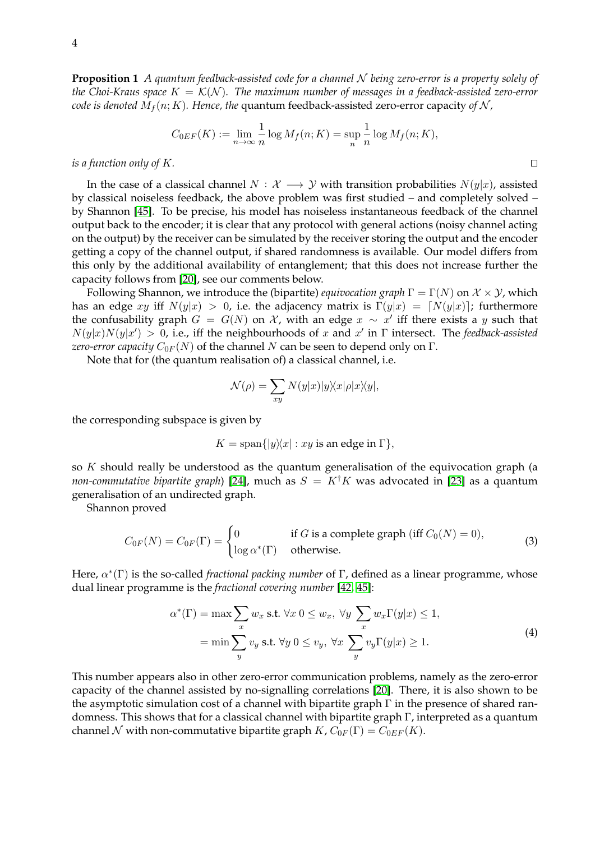**Proposition 1** *A quantum feedback-assisted code for a channel* N *being zero-error is a property solely of the Choi-Kraus space*  $K = \mathcal{K}(\mathcal{N})$ *. The maximum number of messages in a feedback-assisted zero-error code is denoted*  $M_f(n; K)$ *. Hence, the* quantum feedback-assisted zero-error capacity of N,

$$
C_{0EF}(K) := \lim_{n \to \infty} \frac{1}{n} \log M_f(n; K) = \sup_n \frac{1}{n} \log M_f(n; K),
$$

*is a function only of K.*  $\Box$ 

In the case of a classical channel  $N : \mathcal{X} \longrightarrow \mathcal{Y}$  with transition probabilities  $N(y|x)$ , assisted by classical noiseless feedback, the above problem was first studied – and completely solved – by Shannon [\[45\]](#page-32-2). To be precise, his model has noiseless instantaneous feedback of the channel output back to the encoder; it is clear that any protocol with general actions (noisy channel acting on the output) by the receiver can be simulated by the receiver storing the output and the encoder getting a copy of the channel output, if shared randomness is available. Our model differs from this only by the additional availability of entanglement; that this does not increase further the capacity follows from [\[20\]](#page-31-2), see our comments below.

Following Shannon, we introduce the (bipartite) *equivocation graph*  $\Gamma = \Gamma(N)$  on  $\mathcal{X} \times \mathcal{Y}$ , which has an edge xy iff  $N(y|x) > 0$ , i.e. the adjacency matrix is  $\Gamma(y|x) = [N(y|x)]$ ; furthermore the confusability graph  $G = G(N)$  on  $\mathcal X$ , with an edge  $x \sim x'$  iff there exists a y such that  $N(y|x)N(y|x') > 0$ , i.e., iff the neighbourhoods of x and x' in  $\Gamma$  intersect. The *feedback-assisted zero-error capacity*  $C_{0F}(N)$  of the channel N can be seen to depend only on  $\Gamma$ .

Note that for (the quantum realisation of) a classical channel, i.e.

$$
\mathcal{N}(\rho) = \sum_{xy} N(y|x)|y\rangle\langle x|\rho|x\rangle\langle y|,
$$

the corresponding subspace is given by

$$
K = \text{span}\{|y\rangle\langle x| : xy \text{ is an edge in } \Gamma\},\
$$

so K should really be understood as the quantum generalisation of the equivocation graph (a *non-commutative bipartite graph*) [\[24\]](#page-32-7), much as  $S = K^{\dagger}K$  was advocated in [\[23\]](#page-32-6) as a quantum generalisation of an undirected graph.

Shannon proved

<span id="page-4-0"></span>
$$
C_{0F}(N) = C_{0F}(\Gamma) = \begin{cases} 0 & \text{if } G \text{ is a complete graph (iff } C_0(N) = 0), \\ \log \alpha^*(\Gamma) & \text{otherwise.} \end{cases}
$$
 (3)

Here,  $\alpha^*(\Gamma)$  is the so-called *fractional packing number* of Γ, defined as a linear programme, whose dual linear programme is the *fractional covering number* [\[42,](#page-32-9) [45\]](#page-32-2):

$$
\alpha^*(\Gamma) = \max \sum_{x} w_x \text{ s.t. } \forall x \ 0 \le w_x, \ \forall y \ \sum_{x} w_x \Gamma(y|x) \le 1,
$$

$$
= \min \sum_{y} v_y \text{ s.t. } \forall y \ 0 \le v_y, \ \forall x \ \sum_{y} v_y \Gamma(y|x) \ge 1.
$$
 (4)

<span id="page-4-1"></span>This number appears also in other zero-error communication problems, namely as the zero-error capacity of the channel assisted by no-signalling correlations [\[20\]](#page-31-2). There, it is also shown to be the asymptotic simulation cost of a channel with bipartite graph Γ in the presence of shared randomness. This shows that for a classical channel with bipartite graph Γ, interpreted as a quantum channel N with non-commutative bipartite graph  $K$ ,  $C_{0F}(\Gamma) = C_{0EF}(K)$ .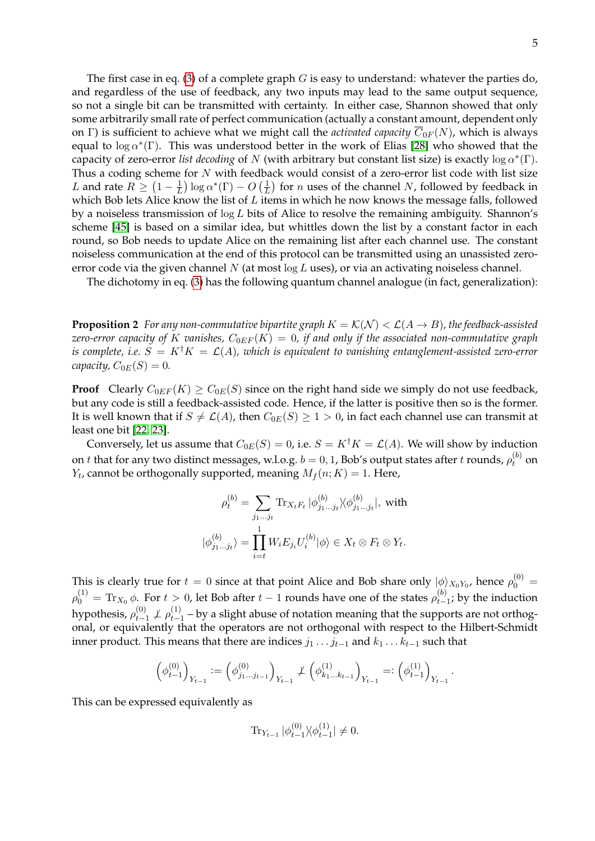The first case in eq. [\(3\)](#page-4-0) of a complete graph  $G$  is easy to understand: whatever the parties do, and regardless of the use of feedback, any two inputs may lead to the same output sequence, so not a single bit can be transmitted with certainty. In either case, Shannon showed that only some arbitrarily small rate of perfect communication (actually a constant amount, dependent only on Γ) is sufficient to achieve what we might call the *activated capacity*  $\overline{C}_{0F}(N)$ , which is always equal to  $\log \alpha^*(\Gamma)$ . This was understood better in the work of Elias [\[28\]](#page-32-10) who showed that the capacity of zero-error *list decoding* of N (with arbitrary but constant list size) is exactly  $\log \alpha^*(\Gamma)$ . Thus a coding scheme for  $N$  with feedback would consist of a zero-error list code with list size L and rate  $R \geq (1 - \frac{1}{L})$  $\frac{1}{L}$ ) log  $\alpha^*(\Gamma) - O\left(\frac{1}{L}\right)$  $\frac{1}{L}$ ) for *n* uses of the channel *N*, followed by feedback in which Bob lets Alice know the list of  $L$  items in which he now knows the message falls, followed by a noiseless transmission of  $\log L$  bits of Alice to resolve the remaining ambiguity. Shannon's scheme [\[45\]](#page-32-2) is based on a similar idea, but whittles down the list by a constant factor in each round, so Bob needs to update Alice on the remaining list after each channel use. The constant noiseless communication at the end of this protocol can be transmitted using an unassisted zeroerror code via the given channel N (at most  $\log L$  uses), or via an activating noiseless channel.

<span id="page-5-0"></span>The dichotomy in eq. [\(3\)](#page-4-0) has the following quantum channel analogue (in fact, generalization):

**Proposition 2** *For any non-commutative bipartite graph*  $K = \mathcal{K}(\mathcal{N}) < \mathcal{L}(A \rightarrow B)$ *, the feedback-assisted zero-error capacity of K vanishes,*  $C_{0EF}(K) = 0$ , if and only if the associated non-commutative graph *is complete, i.e.*  $S = K^{\dagger}K = \mathcal{L}(A)$ *, which is equivalent to vanishing entanglement-assisted zero-error capacity,*  $C_{0E}(S) = 0$ .

**Proof** Clearly  $C_{0EF}(K) \geq C_{0E}(S)$  since on the right hand side we simply do not use feedback, but any code is still a feedback-assisted code. Hence, if the latter is positive then so is the former. It is well known that if  $S \neq \mathcal{L}(A)$ , then  $C_{0E}(S) \geq 1 > 0$ , in fact each channel use can transmit at least one bit [\[22,](#page-32-4) [23\]](#page-32-6).

Conversely, let us assume that  $C_{0E}(S) = 0$ , i.e.  $S = K^{\dagger}K = \mathcal{L}(A)$ . We will show by induction on  $t$  that for any two distinct messages, w.l.o.g.  $b = 0, 1$ , Bob's output states after  $t$  rounds,  $\rho_t^{(b)}$  on  $Y_t$ , cannot be orthogonally supported, meaning  $M_f(n; K) = 1$ . Here,

$$
\rho_t^{(b)} = \sum_{j_1...j_t} \text{Tr}_{X_t F_t} |\phi_{j_1...j_t}^{(b)} \rangle \langle \phi_{j_1...j_t}^{(b)}|, \text{ with}
$$

$$
|\phi_{j_1...j_t}^{(b)} \rangle = \prod_{i=t}^1 W_i E_{j_i} U_i^{(b)} |\phi \rangle \in X_t \otimes F_t \otimes Y_t.
$$

This is clearly true for  $t=0$  since at that point Alice and Bob share only  $|\phi\rangle_{X_0Y_0}$ , hence  $\rho_0^{(0)}=$  $\rho_0^{(1)} = \text{Tr}_{X_0} \, \phi.$  For  $t > 0$ , let Bob after  $t-1$  rounds have one of the states  $\rho_{t-}^{(b)}$  $t_{t-1}^{(v)}$ ; by the induction hypothesis,  $\rho_{t-1}^{(0)}$  $\theta_{t-1}^{(0)}$   $\neq$   $\rho_{t-1}^{(1)}$  $t_{t-1}^{(1)}$  – by a slight abuse of notation meaning that the supports are not orthogonal, or equivalently that the operators are not orthogonal with respect to the Hilbert-Schmidt inner product. This means that there are indices  $j_1 \tcdots j_{t-1}$  and  $k_1 \tcdots k_{t-1}$  such that

$$
\left(\phi_{t-1}^{(0)}\right)_{Y_{t-1}}:=\left(\phi_{j_1...j_{t-1}}^{(0)}\right)_{Y_{t-1}}\not\perp \left(\phi_{k_1...k_{t-1}}^{(1)}\right)_{Y_{t-1}}=:\left(\phi_{t-1}^{(1)}\right)_{Y_{t-1}}.
$$

This can be expressed equivalently as

$$
\operatorname{Tr}_{Y_{t-1}}|\phi_{t-1}^{(0)}\rangle\langle\phi_{t-1}^{(1)}|\neq 0.
$$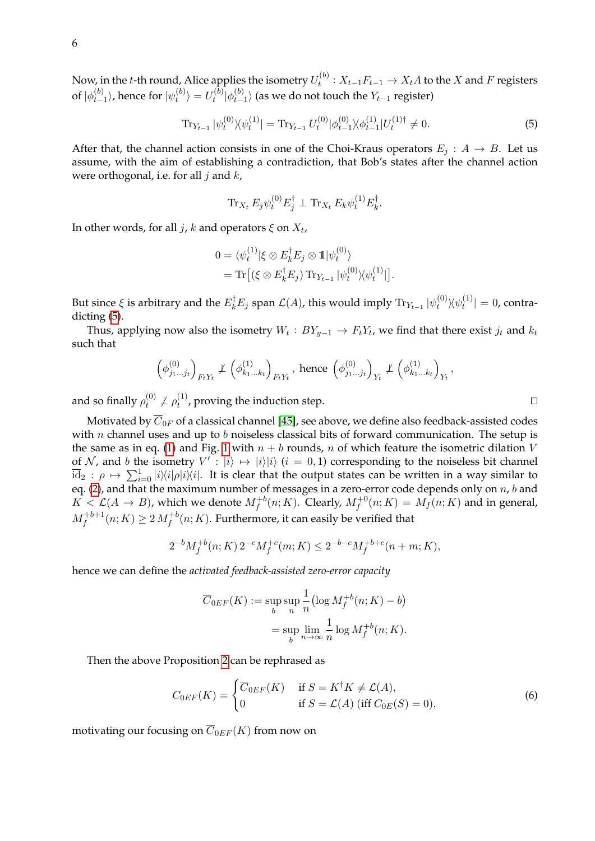<span id="page-6-0"></span>
$$
\operatorname{Tr}_{Y_{t-1}} |\psi_t^{(0)}\rangle\langle\psi_t^{(1)}| = \operatorname{Tr}_{Y_{t-1}} U_t^{(0)} |\phi_{t-1}^{(0)}\rangle\langle\phi_{t-1}^{(1)}|U_t^{(1)}\rangle \neq 0. \tag{5}
$$

After that, the channel action consists in one of the Choi-Kraus operators  $E_j: A \rightarrow B$ . Let us assume, with the aim of establishing a contradiction, that Bob's states after the channel action were orthogonal, i.e. for all  $j$  and  $k$ ,

$$
\operatorname{Tr}_{X_t} E_j \psi_t^{(0)} E_j^{\dagger} \perp \operatorname{Tr}_{X_t} E_k \psi_t^{(1)} E_k^{\dagger}.
$$

In other words, for all  $j$ ,  $k$  and operators  $\xi$  on  $X_t$ ,

$$
0 = \langle \psi_t^{(1)} | \xi \otimes E_k^{\dagger} E_j \otimes \mathbb{1} | \psi_t^{(0)} \rangle
$$
  
= Tr [(\xi \otimes E\_k^{\dagger} E\_j) Tr\_{Y\_{t-1}} | \psi\_t^{(0)} \rangle \langle \psi\_t^{(1)} |].

But since  $\xi$  is arbitrary and the  $E_k^{\dagger}E_j$  span  $\mathcal{L}(A)$ , this would imply  $\text{Tr}_{Y_{t-1}}|\psi_t^{(0)}\>$  $\psi_t^{(0)}\rangle\!\langle \psi_t^{(1)}$  $|t_t^{(1)}| = 0$ , contradicting [\(5\)](#page-6-0).

Thus, applying now also the isometry  $W_t : BY_{y-1} \to F_tY_t$ , we find that there exist  $j_t$  and  $k_t$ such that

$$
\left(\phi_{j_1...j_t}^{(0)}\right)_{F_tY_t} \not\perp \left(\phi_{k_1...k_t}^{(1)}\right)_{F_tY_t}, \text{ hence } \left(\phi_{j_1...j_t}^{(0)}\right)_{Y_t} \not\perp \left(\phi_{k_1...k_t}^{(1)}\right)_{Y_t},
$$

and so finally  $\rho_t^{(0)}$  $\ell_t^{(0)} \not\perp \rho_t^{(1)}$  $t^{(1)}$ , proving the induction step.

Motivated by  $\overline{C}_{0F}$  of a classical channel [\[45\]](#page-32-2), see above, we define also feedback-assisted codes with  $n$  channel uses and up to  $b$  noiseless classical bits of forward communication. The setup is the same as in eq. [\(1\)](#page-2-0) and Fig. [1](#page-3-0) with  $n + b$  rounds, n of which feature the isometric dilation V of N, and b the isometry  $V' : |i\rangle \mapsto |i\rangle |i\rangle$  ( $i = 0, 1$ ) corresponding to the noiseless bit channel  $\overline{id}_2$ :  $\rho \mapsto \sum_{i=0}^1 |i\rangle\langle i|\rho|i\rangle\langle i|$ . It is clear that the output states can be written in a way similar to eq. [\(2\)](#page-2-1), and that the maximum number of messages in a zero-error code depends only on  $n$ ,  $b$  and  $K < \mathcal{L}(A \to B)$ , which we denote  $M_f^{+b}(n;K)$ . Clearly,  $M_f^{+0}(n;K) = M_f(n;K)$  and in general,  $M_f^{+b+1}(n;K) \geq 2\, M_f^{+b}(n;K).$  Furthermore, it can easily be verified that

$$
2^{-b}M_f^{+b}(n;K) 2^{-c}M_f^{+c}(m;K) \le 2^{-b-c}M_f^{+b+c}(n+m;K),
$$

hence we can define the *activated feedback-assisted zero-error capacity*

$$
\overline{C}_{0EF}(K) := \sup_b \sup_n \frac{1}{n} \left( \log M_f^{+b}(n;K) - b \right)
$$

$$
= \sup_b \lim_{n \to \infty} \frac{1}{n} \log M_f^{+b}(n;K).
$$

Then the above Proposition [2](#page-5-0) can be rephrased as

$$
C_{0EF}(K) = \begin{cases} \overline{C}_{0EF}(K) & \text{if } S = K^{\dagger}K \neq \mathcal{L}(A), \\ 0 & \text{if } S = \mathcal{L}(A) \text{ (iff } C_{0E}(S) = 0), \end{cases}
$$
 (6)

motivating our focusing on  $\overline{C}_{0EF}(K)$  from now on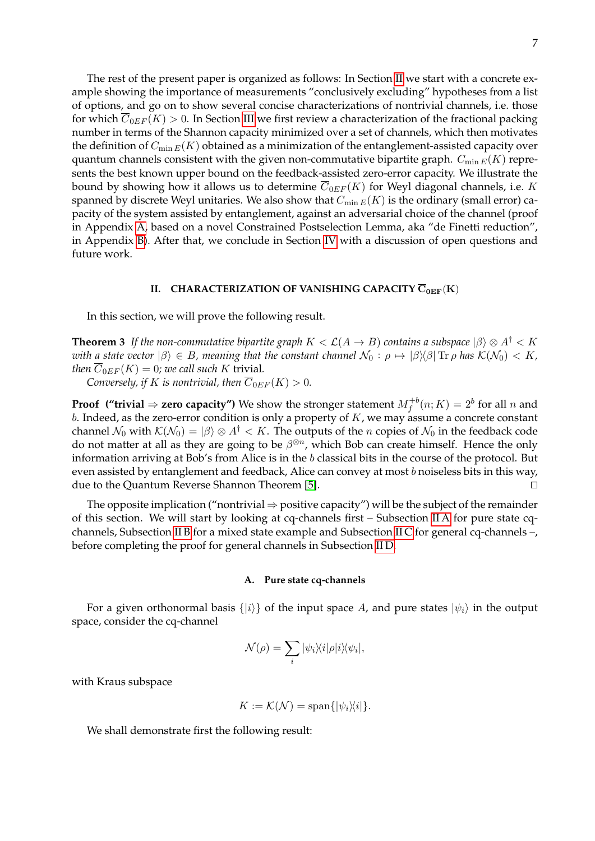The rest of the present paper is organized as follows: In Section [II](#page-7-0) we start with a concrete example showing the importance of measurements "conclusively excluding" hypotheses from a list of options, and go on to show several concise characterizations of nontrivial channels, i.e. those for which  $\overline{C}_{0EF}(K) > 0$ . In Section [III](#page-15-0) we first review a characterization of the fractional packing number in terms of the Shannon capacity minimized over a set of channels, which then motivates the definition of  $C_{\min E}(K)$  obtained as a minimization of the entanglement-assisted capacity over quantum channels consistent with the given non-commutative bipartite graph.  $C_{\min E}(K)$  represents the best known upper bound on the feedback-assisted zero-error capacity. We illustrate the bound by showing how it allows us to determine  $\overline{C}_{0EF}(K)$  for Weyl diagonal channels, i.e. K spanned by discrete Weyl unitaries. We also show that  $C_{\min E}(K)$  is the ordinary (small error) capacity of the system assisted by entanglement, against an adversarial choice of the channel (proof in Appendix [A,](#page-25-0) based on a novel Constrained Postselection Lemma, aka "de Finetti reduction", in Appendix [B\)](#page-29-0). After that, we conclude in Section [IV](#page-23-0) with a discussion of open questions and future work.

### <span id="page-7-2"></span><span id="page-7-0"></span>**II. CHARACTERIZATION OF VANISHING CAPACITY**  $\overline{C}_{0EF}(K)$

In this section, we will prove the following result.

**Theorem 3** If the non-commutative bipartite graph  $K < \mathcal{L}(A \rightarrow B)$  contains a subspace  $|\beta\rangle \otimes A^{\dagger} < K$ *with a state vector*  $|\beta\rangle \in B$ *, meaning that the constant channel*  $\mathcal{N}_0 : \rho \mapsto |\beta\rangle\langle\beta|$  Tr  $\rho$  *has*  $\mathcal{K}(\mathcal{N}_0) < K$ *, then*  $\overline{C}_{0EF}(K) = 0$ *; we call such* K trivial.

*Conversely, if K* is nontrivial, then  $\overline{C}_{0EF}(K) > 0$ .

**Proof** ("trivial  $\Rightarrow$  zero capacity") We show the stronger statement  $M_f^{+b}(n; K) = 2^b$  for all n and b. Indeed, as the zero-error condition is only a property of  $K$ , we may assume a concrete constant channel  $\mathcal{N}_0$  with  $\mathcal{K}(\mathcal{N}_0) = |\beta\rangle \otimes A^{\dagger} < K$ . The outputs of the *n* copies of  $\mathcal{N}_0$  in the feedback code do not matter at all as they are going to be  $\beta^{\otimes n}$ , which Bob can create himself. Hence the only information arriving at Bob's from Alice is in the b classical bits in the course of the protocol. But even assisted by entanglement and feedback, Alice can convey at most  $b$  noiseless bits in this way, due to the Quantum Reverse Shannon Theorem [\[5\]](#page-31-5).

The opposite implication ("nontrivial  $\Rightarrow$  positive capacity") will be the subject of the remainder of this section. We will start by looking at cq-channels first – Subsection [II A](#page-7-1) for pure state cqchannels, Subsection [II B](#page-8-0) for a mixed state example and Subsection [II C](#page-9-0) for general cq-channels –, before completing the proof for general channels in Subsection [II D.](#page-14-0)

#### <span id="page-7-1"></span>**A. Pure state cq-channels**

For a given orthonormal basis  $\{|i\rangle\}$  of the input space A, and pure states  $|\psi_i\rangle$  in the output space, consider the cq-channel

$$
\mathcal{N}(\rho) = \sum_{i} |\psi_i\rangle\langle i|\rho|i\rangle\langle\psi_i|,
$$

with Kraus subspace

$$
K := \mathcal{K}(\mathcal{N}) = \text{span}\{|\psi_i\rangle\langle i|\}.
$$

We shall demonstrate first the following result: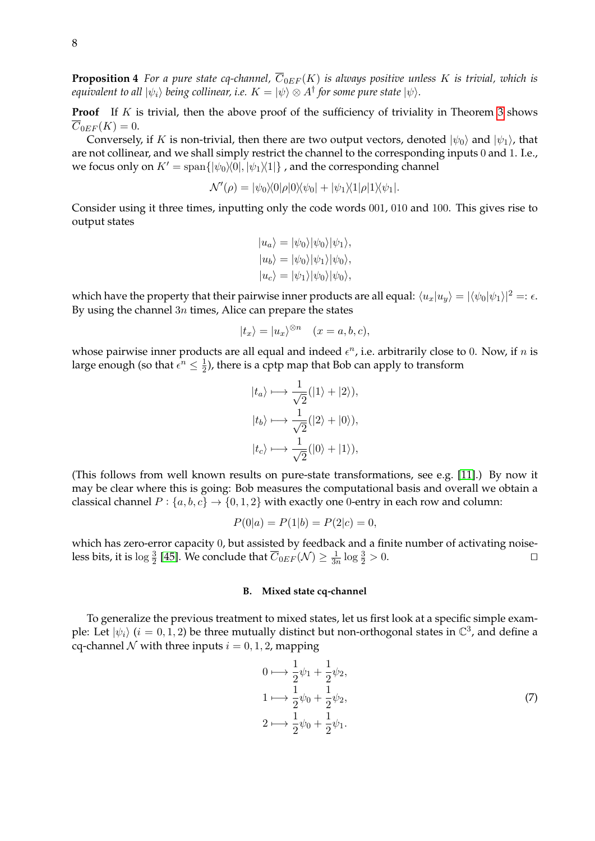**Proposition 4** *For a pure state cq-channel,*  $\overline{C}_{0EF}(K)$  *is always positive unless* K *is trivial, which is* equivalent to all  $|\psi_i\rangle$  being collinear, i.e.  $K=|\psi\rangle\otimes A^{\dagger}$  for some pure state  $|\psi\rangle.$ 

**Proof** If K is trivial, then the above proof of the sufficiency of triviality in Theorem [3](#page-7-2) shows  $\overline{C}_{0EF}(K) = 0.$ 

Conversely, if K is non-trivial, then there are two output vectors, denoted  $|\psi_0\rangle$  and  $|\psi_1\rangle$ , that are not collinear, and we shall simply restrict the channel to the corresponding inputs 0 and 1. I.e., we focus only on  $K' = \text{span}\{|\psi_0\rangle\langle 0|, |\psi_1\rangle\langle 1|\}$ , and the corresponding channel

$$
\mathcal{N}'(\rho) = |\psi_0\rangle\langle 0|\rho|0\rangle\langle\psi_0| + |\psi_1\rangle\langle 1|\rho|1\rangle\langle\psi_1|.
$$

Consider using it three times, inputting only the code words 001, 010 and 100. This gives rise to output states

$$
|u_a\rangle = |\psi_0\rangle |\psi_0\rangle |\psi_1\rangle,
$$
  
\n
$$
|u_b\rangle = |\psi_0\rangle |\psi_1\rangle |\psi_0\rangle,
$$
  
\n
$$
|u_c\rangle = |\psi_1\rangle |\psi_0\rangle |\psi_0\rangle,
$$

which have the property that their pairwise inner products are all equal:  $\langle u_x|u_y\rangle = |\langle \psi_0|\psi_1\rangle|^2 =: \epsilon$ . By using the channel  $3n$  times, Alice can prepare the states

$$
|t_x\rangle = |u_x\rangle^{\otimes n} \quad (x = a, b, c),
$$

whose pairwise inner products are all equal and indeed  $\epsilon^n$ , i.e. arbitrarily close to 0. Now, if n is large enough (so that  $\epsilon^n \leq \frac{1}{2}$  $\frac{1}{2}$ ), there is a cptp map that Bob can apply to transform

$$
|t_a\rangle \longmapsto \frac{1}{\sqrt{2}}(|1\rangle + |2\rangle),
$$
  
\n
$$
|t_b\rangle \longmapsto \frac{1}{\sqrt{2}}(|2\rangle + |0\rangle),
$$
  
\n
$$
|t_c\rangle \longmapsto \frac{1}{\sqrt{2}}(|0\rangle + |1\rangle),
$$

(This follows from well known results on pure-state transformations, see e.g. [\[11\]](#page-31-6).) By now it may be clear where this is going: Bob measures the computational basis and overall we obtain a classical channel  $P: \{a, b, c\} \rightarrow \{0, 1, 2\}$  with exactly one 0-entry in each row and column:

$$
P(0|a) = P(1|b) = P(2|c) = 0,
$$

which has zero-error capacity 0, but assisted by feedback and a finite number of activating noiseless bits, it is  $\log \frac{3}{2}$  [\[45\]](#page-32-2). We conclude that  $\overline{C}_{0EF}(\mathcal{N}) \geq \frac{1}{3n}$  $\frac{1}{3n} \log \frac{3}{2} > 0.$ 

#### <span id="page-8-0"></span>**B. Mixed state cq-channel**

To generalize the previous treatment to mixed states, let us first look at a specific simple example: Let  $|\psi_i\rangle$  ( $i = 0, 1, 2$ ) be three mutually distinct but non-orthogonal states in  $\mathbb{C}^3$ , and define a cq-channel  $N$  with three inputs  $i = 0, 1, 2$ , mapping

<span id="page-8-1"></span>
$$
0 \mapsto \frac{1}{2}\psi_1 + \frac{1}{2}\psi_2,
$$
  
\n
$$
1 \mapsto \frac{1}{2}\psi_0 + \frac{1}{2}\psi_2,
$$
  
\n
$$
2 \mapsto \frac{1}{2}\psi_0 + \frac{1}{2}\psi_1.
$$
\n(7)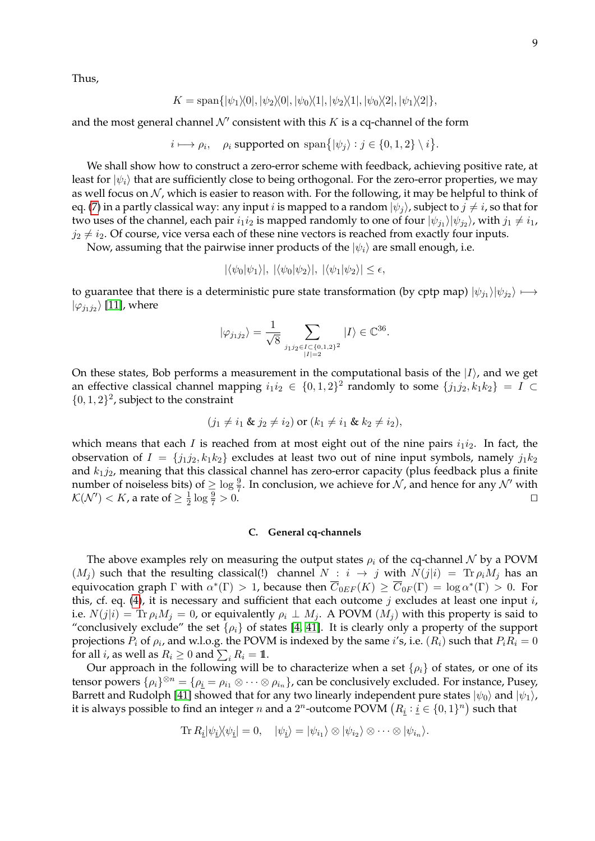Thus,

$$
K = \text{span}\{|\psi_1\rangle\langle 0|, |\psi_2\rangle\langle 0|, |\psi_0\rangle\langle 1|, |\psi_2\rangle\langle 1|, |\psi_0\rangle\langle 2|, |\psi_1\rangle\langle 2|\},\
$$

and the most general channel  $\mathcal{N}'$  consistent with this K is a cq-channel of the form

 $i \longmapsto \rho_i$ ,  $\rho_i$  supported on  $\text{span}\{|\psi_j\rangle : j \in \{0, 1, 2\} \setminus i\}.$ 

We shall show how to construct a zero-error scheme with feedback, achieving positive rate, at least for  $|\psi_i\rangle$  that are sufficiently close to being orthogonal. For the zero-error properties, we may as well focus on  $N$ , which is easier to reason with. For the following, it may be helpful to think of eq. [\(7\)](#page-8-1) in a partly classical way: any input i is mapped to a random  $|\psi_i\rangle$ , subject to  $j \neq i$ , so that for two uses of the channel, each pair  $i_1i_2$  is mapped randomly to one of four  $|\psi_{j_1}\rangle|\psi_{j_2}\rangle$ , with  $j_1\neq i_1$ ,  $j_2 \neq i_2$ . Of course, vice versa each of these nine vectors is reached from exactly four inputs.

Now, assuming that the pairwise inner products of the  $|\psi_i\rangle$  are small enough, i.e.

$$
|\langle \psi_0 | \psi_1 \rangle|, |\langle \psi_0 | \psi_2 \rangle|, |\langle \psi_1 | \psi_2 \rangle| \le \epsilon,
$$

to guarantee that there is a deterministic pure state transformation (by cptp map)  $|\psi_{j_1}\rangle|\psi_{j_2}\rangle \longmapsto$  $|\varphi_{j_1j_2}\rangle$  [\[11\]](#page-31-6), where

$$
|\varphi_{j_1 j_2}\rangle = \frac{1}{\sqrt{8}} \sum_{j_1 j_2 \in I \subset \{0,1,2\}^2 \atop |I| = 2} |I\rangle \in \mathbb{C}^{36}.
$$

On these states, Bob performs a measurement in the computational basis of the  $|I\rangle$ , and we get an effective classical channel mapping  $i_1 i_2 \in \{0, 1, 2\}^2$  randomly to some  $\{j_1 j_2, k_1 k_2\} = I \subset$  $\{0, 1, 2\}^2$ , subject to the constraint

$$
(j_1 \neq i_1 \& j_2 \neq i_2)
$$
 or  $(k_1 \neq i_1 \& k_2 \neq i_2)$ ,

which means that each I is reached from at most eight out of the nine pairs  $i_1i_2$ . In fact, the observation of  $I = \{j_1j_2, k_1k_2\}$  excludes at least two out of nine input symbols, namely  $j_1k_2$ and  $k_1j_2$ , meaning that this classical channel has zero-error capacity (plus feedback plus a finite number of noiseless bits) of  $\geq \log \frac{9}{7}$ . In conclusion, we achieve for N, and hence for any N' with  $\mathcal{K}(\mathcal{N}') < K$ , a rate of  $\geq \frac{1}{2}$  $\frac{1}{2} \log \frac{9}{7}$  $\frac{9}{7} > 0.$ 

## <span id="page-9-0"></span>**C. General cq-channels**

The above examples rely on measuring the output states  $\rho_i$  of the cq-channel N by a POVM  $(M_i)$  such that the resulting classical(!) channel  $N : i \rightarrow j$  with  $N(j|i) = Tr \rho_i M_j$  has an equivocation graph Γ with  $\alpha^*(\Gamma) > 1$ , because then  $\overline{C}_{0EF}(K) \ge \overline{C}_{0F}(\Gamma) = \log \alpha^*(\Gamma) > 0$ . For this, cf. eq. [\(4\)](#page-4-1), it is necessary and sufficient that each outcome  $j$  excludes at least one input  $i$ , i.e.  $N(j|i) = \text{Tr } \rho_i M_j = 0$ , or equivalently  $\rho_i \perp M_j$ . A POVM  $(M_i)$  with this property is said to "conclusively exclude" the set  $\{\rho_i\}$  of states [\[4,](#page-31-7) [41\]](#page-32-11). It is clearly only a property of the support projections  $P_i$  of  $\rho_i$ , and w.l.o.g. the POVM is indexed by the same *i's*, i.e.  $(R_i)$  such that  $P_iR_i = 0$ for all *i*, as well as  $R_i \geq 0$  and  $\sum_i R_i = 1\!\!1$ .

Our approach in the following will be to characterize when a set  $\{\rho_i\}$  of states, or one of its tensor powers  $\{\rho_i\}^{\otimes n} = \{\rho_i = \rho_{i_1} \otimes \cdots \otimes \rho_{i_n}\}\$ , can be conclusively excluded. For instance, Pusey, Barrett and Rudolph [\[41\]](#page-32-11) showed that for any two linearly independent pure states  $|\psi_0\rangle$  and  $|\psi_1\rangle$ , it is always possible to find an integer  $n$  and a  $2^n$ -outcome POVM  $\left(R_{\underline{i}}: \underline{i} \in \{0,1\}^n\right)$  such that

$$
\operatorname{Tr} R_{\underline{i}} |\psi_{\underline{i}}\rangle\langle\psi_{\underline{i}}| = 0, \quad |\psi_{\underline{i}}\rangle = |\psi_{i_1}\rangle \otimes |\psi_{i_2}\rangle \otimes \cdots \otimes |\psi_{i_n}\rangle.
$$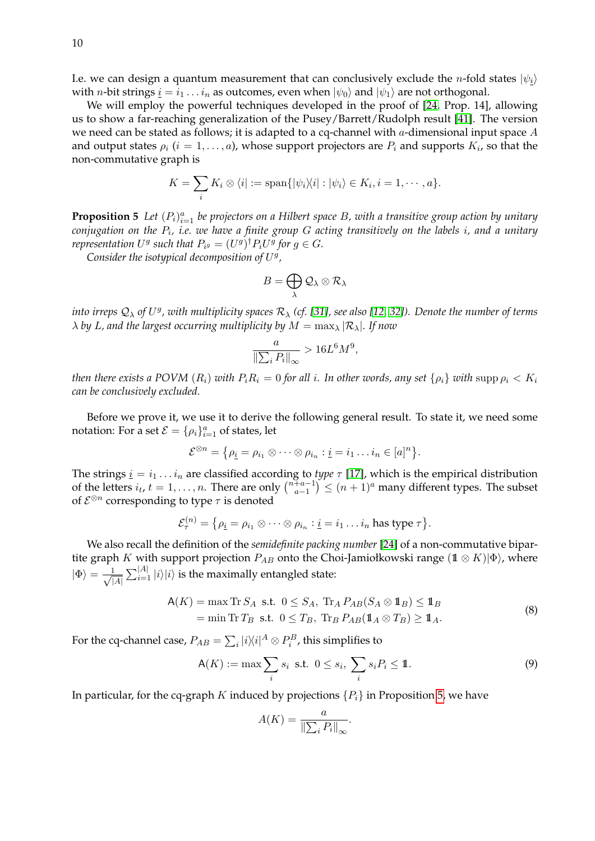I.e. we can design a quantum measurement that can conclusively exclude the *n*-fold states  $|\psi_i\rangle$ with *n*-bit strings  $\underline{i} = i_1 \dots i_n$  as outcomes, even when  $|\psi_0\rangle$  and  $|\psi_1\rangle$  are not orthogonal.

We will employ the powerful techniques developed in the proof of [\[24,](#page-32-7) Prop. 14], allowing us to show a far-reaching generalization of the Pusey/Barrett/Rudolph result [\[41\]](#page-32-11). The version we need can be stated as follows; it is adapted to a cq-channel with  $a$ -dimensional input space  $A$ and output states  $\rho_i$   $(i = 1, \ldots, a)$ , whose support projectors are  $P_i$  and supports  $K_i$ , so that the non-commutative graph is

$$
K = \sum_{i} K_i \otimes \langle i | := \text{span}\{|\psi_i \rangle \langle i| : |\psi_i \rangle \in K_i, i = 1, \cdots, a\}.
$$

<span id="page-10-0"></span>**Proposition 5** Let  $(P_i)_{i=1}^a$  be projectors on a Hilbert space B, with a transitive group action by unitary *conjugation on the* P<sup>i</sup> *, i.e. we have a finite group* G *acting transitively on the labels* i*, and a unitary representation*  $U^g$  such that  $P_{i^g} = (U^g)^\dagger P_i U^g$  for  $g \in G$ .

Consider the isotypical decomposition of  $U<sup>g</sup>$ ,

$$
B=\bigoplus_{\lambda}\mathcal{Q}_{\lambda}\otimes\mathcal{R}_{\lambda}
$$

 $\log \phi$  are  $\Omega_{\lambda}$  of  $U^g$  , with multiplicity spaces  $\mathcal{R}_{\lambda}$  (cf. [\[31\]](#page-32-12), see also [\[12,](#page-31-8) [32\]](#page-32-13)). Denote the number of terms  $\lambda$  *by L, and the largest occurring multiplicity by*  $M = \max_{\lambda} |\mathcal{R}_{\lambda}|$ *. If now* 

$$
\frac{a}{\left\|\sum_{i} P_{i}\right\|_{\infty}} > 16L^{6}M^{9},
$$

*then there exists a POVM*  $(R_i)$  *with*  $P_iR_i = 0$  *for all i*. In other words, any set  $\{\rho_i\}$  *with* supp  $\rho_i < K_i$ *can be conclusively excluded.*

Before we prove it, we use it to derive the following general result. To state it, we need some notation: For a set  $\mathcal{E} = {\{\rho_i\}}_{i=1}^a$  of states, let

$$
\mathcal{E}^{\otimes n} = \{ \rho_{\underline{i}} = \rho_{i_1} \otimes \cdots \otimes \rho_{i_n} : \underline{i} = i_1 \ldots i_n \in [a]^n \}.
$$

The strings  $\underline{i} = i_1 \dots i_n$  are classified according to *type*  $\tau$  [\[17\]](#page-31-9), which is the empirical distribution of the letters  $i_t$ ,  $t = 1, \ldots, n$ . There are only  $\binom{n+a-1}{a-1}$  $\binom{+a-1}{a-1} \leq (n+1)^a$  many different types. The subset of  $\mathcal{E}^{\otimes n}$  corresponding to type  $\tau$  is denoted

$$
\mathcal{E}_{\tau}^{(n)} = \{ \rho_{\underline{i}} = \rho_{i_1} \otimes \cdots \otimes \rho_{i_n} : \underline{i} = i_1 \ldots i_n \text{ has type } \tau \}.
$$

We also recall the definition of the *semidefinite packing number* [\[24\]](#page-32-7) of a non-commutative bipartite graph K with support projection  $P_{AB}$  onto the Choi-Jamiołkowski range  $(1 \otimes K)|\Phi\rangle$ , where  $|\Phi\rangle = -\frac{1}{4}$  $\frac{1}{|A|} \sum_{i=1}^{|A|} |i\rangle |i\rangle$  is the maximally entangled state:

$$
A(K) = \max \operatorname{Tr} S_A \text{ s.t. } 0 \le S_A, \operatorname{Tr}_A P_{AB}(S_A \otimes \mathbf{1}_B) \le \mathbf{1}_B
$$
  
=  $\min \operatorname{Tr} T_B \text{ s.t. } 0 \le T_B, \operatorname{Tr}_B P_{AB}(\mathbf{1}_A \otimes T_B) \ge \mathbf{1}_A.$  (8)

For the cq-channel case,  $P_{AB} = \sum_i |i\rangle\!\langle i|^A\otimes P_i^B$ , this simplifies to

$$
\mathsf{A}(K) := \max \sum_{i} s_i \text{ s.t. } 0 \le s_i, \sum_{i} s_i P_i \le \mathbb{1}. \tag{9}
$$

<span id="page-10-1"></span>In particular, for the cq-graph K induced by projections  $\{P_i\}$  in Proposition [5,](#page-10-0) we have

$$
A(K) = \frac{a}{\left\| \sum_{i} P_{i} \right\|_{\infty}}.
$$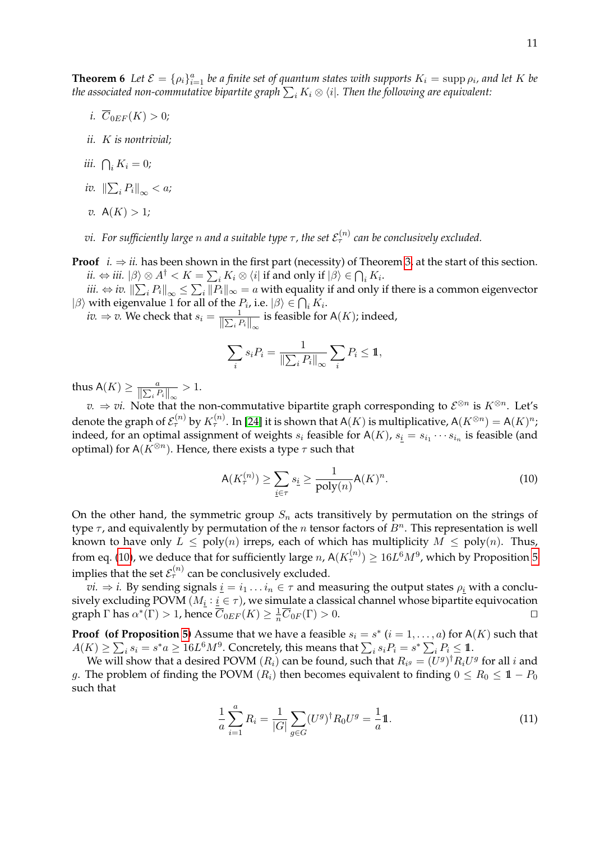**Theorem 6** Let  $\mathcal{E} = \{\rho_i\}_{i=1}^a$  be a finite set of quantum states with supports  $K_i = \text{supp }\rho_i$ , and let K be the associated non-commutative bipartite graph  $\sum_i K_i \otimes \langle i|.$  Then the following are equivalent:

- *i.*  $\overline{C}_{0EF}(K) > 0$ *;*
- *ii.* K *is nontrivial;*
- *iii.*  $\bigcap_i K_i = 0$ ;
- iv.  $\left\| \sum_i P_i \right\|_\infty < a;$
- *v.*  $A(K) > 1$ *;*
- $v$ i. For sufficiently large  $n$  and a suitable type  $\tau$  , the set  $\mathcal{E}_{\tau}^{(n)}$  can be conclusively excluded.
- **Proof**  $i. \Rightarrow ii.$  has been shown in the first part (necessity) of Theorem [3,](#page-7-2) at the start of this section.  $ii. \Leftrightarrow iii. \; |\beta\rangle \otimes A^\dagger < K = \sum_i K_i \otimes \bra{i} \mathrm{if} \mathrm{~and~only ~if~} |\beta\rangle \in \bigcap_i K_i.$

 $iii. \Leftrightarrow iv.$   $\left\| \sum_i P_i \right\|_\infty \leq \sum_i \|P_i\|_\infty = a$  with equality if and only if there is a common eigenvector  $|\beta\rangle$  with eigenvalue 1 for all of the  $P_i$ , i.e.  $|\beta\rangle \in \bigcap_i K_i$ .

*iv.*  $\Rightarrow$  *v.* We check that  $s_i = \frac{1}{\|\sum_i P_i\|_{\infty}}$  is feasible for A(*K*); indeed,

$$
\sum_{i} s_i P_i = \frac{1}{\|\sum_i P_i\|_{\infty}} \sum_i P_i \leq \mathbb{1},
$$

thus  $\mathsf{A}(K) \ge \frac{a}{\left\| \sum_i P_i \right\|_{\infty}} > 1.$ 

 $v. \Rightarrow vi.$  Note that the non-commutative bipartite graph corresponding to  $\mathcal{E}^{\otimes n}$  is  $K^{\otimes n}$ . Let's denote the graph of  $\mathcal{E}_{\tau}^{(n)}$  by  $K_{\tau}^{(n)}$ . In [\[24\]](#page-32-7) it is shown that A(K) is multiplicative, A( $K^{\otimes n})=\mathsf{A}(K)^n$ ; indeed, for an optimal assignment of weights  $s_i$  feasible for A(K),  $s_i = s_{i_1} \cdots s_{i_n}$  is feasible (and optimal) for  $A(K^{\otimes n})$ . Hence, there exists a type  $\tau$  such that

<span id="page-11-0"></span>
$$
\mathsf{A}(K_{\tau}^{(n)}) \ge \sum_{\underline{i} \in \tau} s_{\underline{i}} \ge \frac{1}{\text{poly}(n)} \mathsf{A}(K)^n. \tag{10}
$$

On the other hand, the symmetric group  $S_n$  acts transitively by permutation on the strings of type  $\tau$ , and equivalently by permutation of the n tensor factors of  $B<sup>n</sup>$ . This representation is well known to have only  $L \leq poly(n)$  irreps, each of which has multiplicity  $M \leq poly(n)$ . Thus, from eq. [\(10\)](#page-11-0), we deduce that for sufficiently large  $n$ , A $(K_{\tau}^{(n)}) \geq 16 L^{6} M^{9}$ , which by Proposition [5](#page-10-0) implies that the set  $\mathcal{E}_{\tau}^{(n)}$  can be conclusively excluded.

*vi.*  $\Rightarrow$  *i.* By sending signals  $\underline{i} = i_1 \dots i_n \in \tau$  and measuring the output states  $\rho_i$  with a conclusively excluding POVM  $(M_{\underline{i}} : \underline{i} \in \tau)$ , we simulate a classical channel whose bipartite equivocation graph  $\Gamma$  has  $\alpha^*(\Gamma) > 1$ , hence  $\overline{C}_{0EF}(K) \geq \frac{1}{n}\overline{C}_{0F}(\Gamma) > 0$ .

**Proof (of Proposition [5\)](#page-10-0)** Assume that we have a feasible  $s_i = s^*$  ( $i = 1, ..., a$ ) for A(K) such that  $A(K) \geq \sum_i s_i = s^*a \geq 16L^6M^9.$  Concretely, this means that  $\sum_i s_iP_i = s^* \sum_i P_i \leq \mathbb{1}.$ 

We will show that a desired POVM  $(R_i)$  can be found, such that  $R_{i^g} = (U^g)^\dagger R_i U^g$  for all  $i$  and g. The problem of finding the POVM  $(R_i)$  then becomes equivalent to finding  $0 \le R_0 \le 1 - P_0$ such that

<span id="page-11-1"></span>
$$
\frac{1}{a}\sum_{i=1}^{a}R_{i} = \frac{1}{|G|}\sum_{g\in G}(U^{g})^{\dagger}R_{0}U^{g} = \frac{1}{a}\mathbb{1}.
$$
\n(11)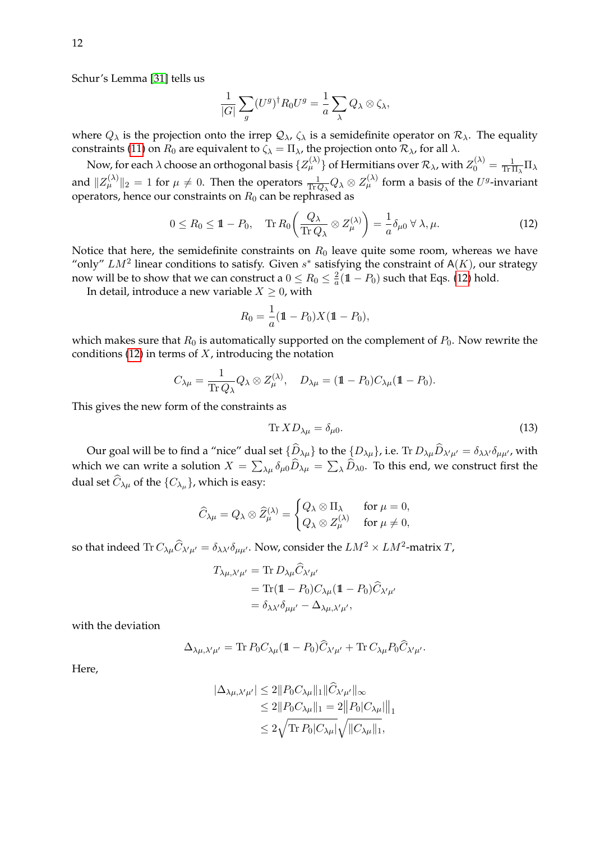Schur's Lemma [\[31\]](#page-32-12) tells us

$$
\frac{1}{|G|}\sum_{g}(U^g)^{\dagger}R_0U^g=\frac{1}{a}\sum_{\lambda}Q_{\lambda}\otimes\zeta_{\lambda},
$$

where  $Q_{\lambda}$  is the projection onto the irrep  $Q_{\lambda}$ ,  $\zeta_{\lambda}$  is a semidefinite operator on  $\mathcal{R}_{\lambda}$ . The equality constraints [\(11\)](#page-11-1) on  $R_0$  are equivalent to  $\zeta_{\lambda} = \Pi_{\lambda}$ , the projection onto  $\mathcal{R}_{\lambda}$ , for all  $\lambda$ .

Now, for each  $\lambda$  choose an orthogonal basis  $\{Z^{(\lambda)}_\mu\}$  of Hermitians over  $\mathcal R_\lambda$ , with  $Z^{(\lambda)}_0=\frac{1}{\rm Tr 1}$  $\frac{1}{\text{Tr}\,\Pi_{\lambda}}\Pi_{\lambda}$ and  $||Z_{\mu}^{(\lambda)}||_2 = 1$  for  $\mu \neq 0$ . Then the operators  $\frac{1}{\text{Tr }Q_{\lambda}} Q_{\lambda} \otimes Z_{\mu}^{(\lambda)}$  form a basis of the  $U^g$ -invariant operators, hence our constraints on  $R_0$  can be rephrased as

<span id="page-12-0"></span>
$$
0 \le R_0 \le \mathbb{1} - P_0, \quad \text{Tr}\, R_0 \bigg(\frac{Q_\lambda}{\text{Tr}\,Q_\lambda} \otimes Z^{(\lambda)}_\mu \bigg) = \frac{1}{a} \delta_{\mu 0} \,\forall \,\lambda, \mu. \tag{12}
$$

Notice that here, the semidefinite constraints on  $R_0$  leave quite some room, whereas we have "only"  $LM^2$  linear conditions to satisfy. Given  $s^*$  satisfying the constraint of A(K), our strategy now will be to show that we can construct a  $0 \leq R_0 \leq \frac{2}{a}$  $\frac{2}{a}$ (1 –  $P_0$ ) such that Eqs. [\(12\)](#page-12-0) hold.

In detail, introduce a new variable  $X \geq 0$ , with

$$
R_0 = \frac{1}{a} (\mathbb{1} - P_0) X (\mathbb{1} - P_0),
$$

which makes sure that  $R_0$  is automatically supported on the complement of  $P_0$ . Now rewrite the conditions [\(12\)](#page-12-0) in terms of  $X$ , introducing the notation

$$
C_{\lambda\mu} = \frac{1}{\text{Tr }Q_{\lambda}} Q_{\lambda} \otimes Z_{\mu}^{(\lambda)}, \quad D_{\lambda\mu} = (\mathbb{1} - P_0) C_{\lambda\mu} (\mathbb{1} - P_0).
$$

This gives the new form of the constraints as

<span id="page-12-1"></span>
$$
\text{Tr } X D_{\lambda \mu} = \delta_{\mu 0}.\tag{13}
$$

Our goal will be to find a "nice" dual set  $\{D_{\lambda\mu}\}$  to the  $\{D_{\lambda\mu}\}$ , i.e. Tr  $D_{\lambda\mu}D_{\lambda'\mu'}=\delta_{\lambda\lambda'}\delta_{\mu\mu'}$ , with which we can write a solution  $X = \sum_{\lambda\mu} \delta_{\mu 0} D_{\lambda\mu} = \sum_{\lambda} D_{\lambda 0}$ . To this end, we construct first the dual set  $C_{\lambda\mu}$  of the  $\{C_{\lambda\mu}\}$ , which is easy:

$$
\widehat{C}_{\lambda\mu}=Q_{\lambda}\otimes \widehat{Z}_{\mu}^{(\lambda)}=\begin{cases} Q_{\lambda}\otimes \Pi_{\lambda} & \text{for } \mu=0,\\ Q_{\lambda}\otimes Z_{\mu}^{(\lambda)} & \text{for } \mu\neq 0,\end{cases}
$$

so that indeed  $\text{Tr}\,C_{\lambda\mu}\widehat C_{\lambda'\mu'}=\delta_{\lambda\lambda'}\delta_{\mu\mu'}.$  Now, consider the  $LM^2\times LM^2$ -matrix  $T$ ,

$$
T_{\lambda\mu,\lambda'\mu'} = \text{Tr } D_{\lambda\mu} C_{\lambda'\mu'}
$$
  
=  $\text{Tr}(\mathbb{1} - P_0) C_{\lambda\mu} (\mathbb{1} - P_0) \widehat{C}_{\lambda'\mu'}$   
=  $\delta_{\lambda\lambda'} \delta_{\mu\mu'} - \Delta_{\lambda\mu,\lambda'\mu'}$ ,

with the deviation

$$
\Delta_{\lambda\mu,\lambda'\mu'} = \text{Tr}\, P_0 C_{\lambda\mu} (\mathbb{1} - P_0) \widehat{C}_{\lambda'\mu'} + \text{Tr}\, C_{\lambda\mu} P_0 \widehat{C}_{\lambda'\mu'}.
$$

Here,

$$
|\Delta_{\lambda\mu,\lambda'\mu'}| \le 2||P_0C_{\lambda\mu}||_1||\hat{C}_{\lambda'\mu'}||_{\infty}\le 2||P_0C_{\lambda\mu}||_1 = 2||P_0|C_{\lambda\mu}||_1\le 2\sqrt{\text{Tr }P_0|C_{\lambda\mu}|}\sqrt{||C_{\lambda\mu}||_1},
$$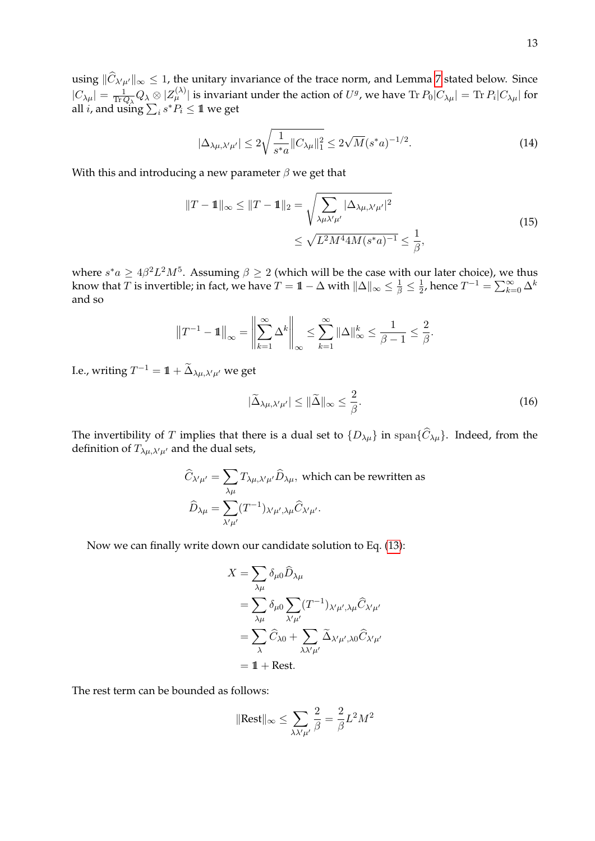using  $||C_{\lambda'\mu'}||_{\infty} \le 1$ , the unitary invariance of the trace norm, and Lemma [7](#page-14-1) stated below. Since  $|C_{\lambda\mu}|=\frac{1}{\text{Tr }0}$  $\frac{1}{\text{Tr}\,Q_\lambda} Q_\lambda\otimes |Z^{(\lambda)}_\mu|$  is invariant under the action of  $U^g$ , we have  $\text{Tr}\,P_0|C_{\lambda\mu}|=\text{Tr}\,P_i|C_{\lambda\mu}|$  for all *i*, and using  $\sum_i s^* P_i \leq 1$  we get

$$
|\Delta_{\lambda\mu,\lambda'\mu'}| \le 2\sqrt{\frac{1}{s^*a}||C_{\lambda\mu}||_1^2} \le 2\sqrt{M}(s^*a)^{-1/2}.
$$
 (14)

With this and introducing a new parameter  $\beta$  we get that

$$
||T - 1||_{\infty} \le ||T - 1||_2 = \sqrt{\sum_{\lambda \mu \lambda' \mu'} |\Delta_{\lambda \mu, \lambda' \mu'}|^2}
$$
  
 
$$
\le \sqrt{L^2 M^4 4 M (s^* a)^{-1}} \le \frac{1}{\beta},
$$
 (15)

where  $s^*a \geq 4\beta^2L^2M^5$ . Assuming  $\beta \geq 2$  (which will be the case with our later choice), we thus know that  $T$  is invertible; in fact, we have  $T=\mathbb{1}-\Delta$  with  $\|\Delta\|_{\infty}\leq\frac{1}{\beta}\leq\frac{1}{2}$  $\frac{1}{2}$ , hence  $T^{-1} = \sum_{k=0}^{\infty} \Delta^k$ and so

$$
||T^{-1} - 1||_{\infty} = \left\| \sum_{k=1}^{\infty} \Delta^k \right\|_{\infty} \le \sum_{k=1}^{\infty} ||\Delta||_{\infty}^k \le \frac{1}{\beta - 1} \le \frac{2}{\beta}.
$$

I.e., writing  $T^{-1} = 1\!\!1 + \widetilde{\Delta}_{\lambda\mu,\lambda'\mu'}$  we get

<span id="page-13-0"></span>
$$
|\widetilde{\Delta}_{\lambda\mu,\lambda'\mu'}| \le \|\widetilde{\Delta}\|_{\infty} \le \frac{2}{\beta}.\tag{16}
$$

The invertibility of T implies that there is a dual set to  $\{D_{\lambda\mu}\}\$  in span $\{\widehat{C}_{\lambda\mu}\}\$ . Indeed, from the definition of  $T_{\lambda\mu,\lambda'\mu'}$  and the dual sets,

$$
\widehat{C}_{\lambda'\mu'} = \sum_{\lambda\mu} T_{\lambda\mu,\lambda'\mu'} \widehat{D}_{\lambda\mu}, \text{ which can be rewritten as}
$$

$$
\widehat{D}_{\lambda\mu} = \sum_{\lambda'\mu'} (T^{-1})_{\lambda'\mu',\lambda\mu} \widehat{C}_{\lambda'\mu'}.
$$

Now we can finally write down our candidate solution to Eq. [\(13\)](#page-12-1):

$$
X = \sum_{\lambda\mu} \delta_{\mu 0} \widehat{D}_{\lambda \mu}
$$
  
= 
$$
\sum_{\lambda\mu} \delta_{\mu 0} \sum_{\lambda' \mu'} (T^{-1})_{\lambda' \mu', \lambda \mu} \widehat{C}_{\lambda' \mu'}
$$
  
= 
$$
\sum_{\lambda} \widehat{C}_{\lambda 0} + \sum_{\lambda \lambda' \mu'} \widetilde{\Delta}_{\lambda' \mu', \lambda 0} \widehat{C}_{\lambda' \mu'}
$$
  
= 
$$
\mathbb{1} + \text{Rest.}
$$

The rest term can be bounded as follows:

$$
\|\text{Rest}\|_{\infty} \le \sum_{\lambda \lambda' \mu'} \frac{2}{\beta} = \frac{2}{\beta} L^2 M^2
$$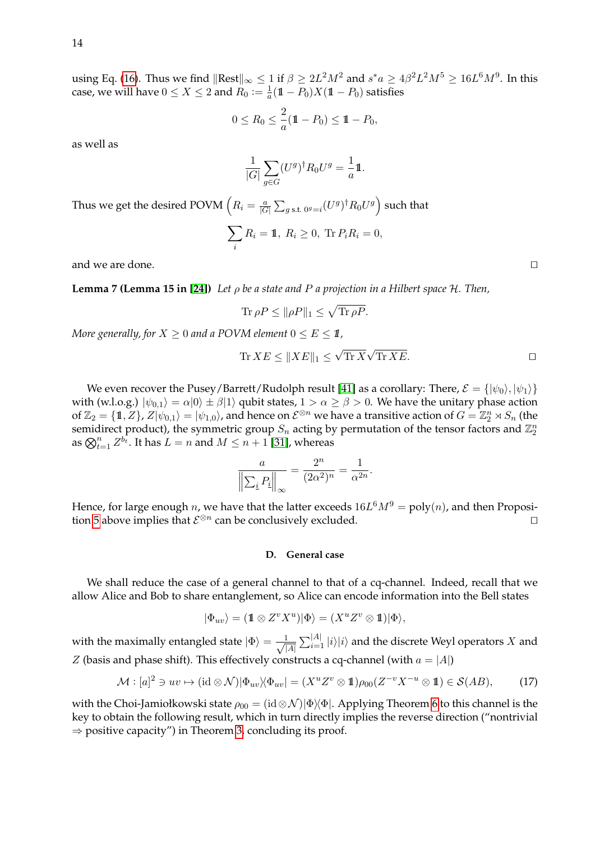using Eq. [\(16\)](#page-13-0). Thus we find  $\|\text{Rest}\|_{\infty}\leq 1$  if  $\beta\geq 2L^2M^2$  and  $s^*a\geq 4\beta^2L^2M^5\geq 16L^6M^9$ . In this case, we will have  $0 \le X \le 2$  and  $R_0 := \frac{1}{a}$  $\frac{1}{a}(\mathbb{1}-P_0)X(\mathbb{1}-P_0)$  satisfies

$$
0 \le R_0 \le \frac{2}{a} (\mathbb{1} - P_0) \le \mathbb{1} - P_0,
$$

as well as

$$
\frac{1}{|G|} \sum_{g \in G} (U^g)^\dagger R_0 U^g = \frac{1}{a} \mathbb{1}.
$$

Thus we get the desired POVM  $\left(R_i=\frac{a}{|G_i|}\right)$  $\frac{a}{|G|}\sum_{g\text{ s.t. } 0^g=i}(U^g)^\dagger R_0 U^g\Big)$  such that

$$
\sum_i R_i = 1\!\!1, R_i \geq 0, \text{ Tr } P_i R_i = 0,
$$

<span id="page-14-1"></span>and we are done.  $\Box$ 

**Lemma 7 (Lemma 15 in [\[24\]](#page-32-7))** *Let* ρ *be a state and* P *a projection in a Hilbert space* H*. Then,*

$$
\text{Tr}\,\rho P \le \|\rho P\|_1 \le \sqrt{\text{Tr}\,\rho P}.
$$

*More generally, for*  $X \geq 0$  *and a POVM element*  $0 \leq E \leq 1$ ,

$$
\text{Tr}\,XE \le \|XE\|_1 \le \sqrt{\text{Tr}\,X}\sqrt{\text{Tr}\,XE}.
$$

.

We even recover the Pusey/Barrett/Rudolph result [\[41\]](#page-32-11) as a corollary: There,  $\mathcal{E} = \{ |\psi_0\rangle, |\psi_1\rangle \}$ with (w.l.o.g.)  $|\psi_{0,1}\rangle = \alpha|0\rangle \pm \beta|1\rangle$  qubit states,  $1 > \alpha \ge \beta > 0$ . We have the unitary phase action of  $\mathbb{Z}_2=\{1,Z\}$ ,  $Z|\psi_{0,1}\rangle=|\psi_{1,0}\rangle$ , and hence on  $\mathcal{E}^{\otimes n}$  we have a transitive action of  $G=\mathbb{Z}_2^n\rtimes S_n$  (the semidirect product), the symmetric group  $S_n$  acting by permutation of the tensor factors and  $\mathbb{Z}_2^n$ as  $\bigotimes_{t=1}^n Z^{b_t}$ . It has  $L = n$  and  $M \leq n+1$  [\[31\]](#page-32-12), whereas

$$
\frac{a}{\left\|\sum_{\underline{i}} P_{\underline{i}}\right\|_{\infty}} = \frac{2^n}{(2\alpha^2)^n} = \frac{1}{\alpha^{2n}}
$$

Hence, for large enough  $n$ , we have that the latter exceeds  $16L^6M^9 = \text{poly}(n)$ , and then Proposi-tion [5](#page-10-0) above implies that  $\mathcal{E}^{\otimes n}$  can be conclusively excluded.

### <span id="page-14-0"></span>**D. General case**

We shall reduce the case of a general channel to that of a cq-channel. Indeed, recall that we allow Alice and Bob to share entanglement, so Alice can encode information into the Bell states

$$
|\Phi_{uv}\rangle = (\mathbb{1} \otimes Z^v X^u)|\Phi\rangle = (X^u Z^v \otimes \mathbb{1})|\Phi\rangle,
$$

with the maximally entangled state  $|\Phi\rangle = \frac{1}{\sqrt{2}}$  $\frac{1}{|A|} \sum_{i=1}^{|A|} |i\rangle |i\rangle$  and the discrete Weyl operators  $X$  and Z (basis and phase shift). This effectively constructs a cq-channel (with  $a = |A|$ )

<span id="page-14-2"></span>
$$
\mathcal{M} : [a]^2 \ni uv \mapsto (\mathrm{id} \otimes \mathcal{N}) |\Phi_{uv}\rangle \langle \Phi_{uv}| = (X^u Z^v \otimes \mathbb{1}) \rho_{00} (Z^{-v} X^{-u} \otimes \mathbb{1}) \in \mathcal{S}(AB), \tag{17}
$$

<span id="page-14-3"></span>with the Choi-Jamiołkowski state  $\rho_{00} = (\mathrm{id} \otimes \mathcal{N})|\Phi\rangle\langle\Phi|$ . Applying Theorem [6](#page-10-1) to this channel is the key to obtain the following result, which in turn directly implies the reverse direction ("nontrivial  $\Rightarrow$  positive capacity") in Theorem [3,](#page-7-2) concluding its proof.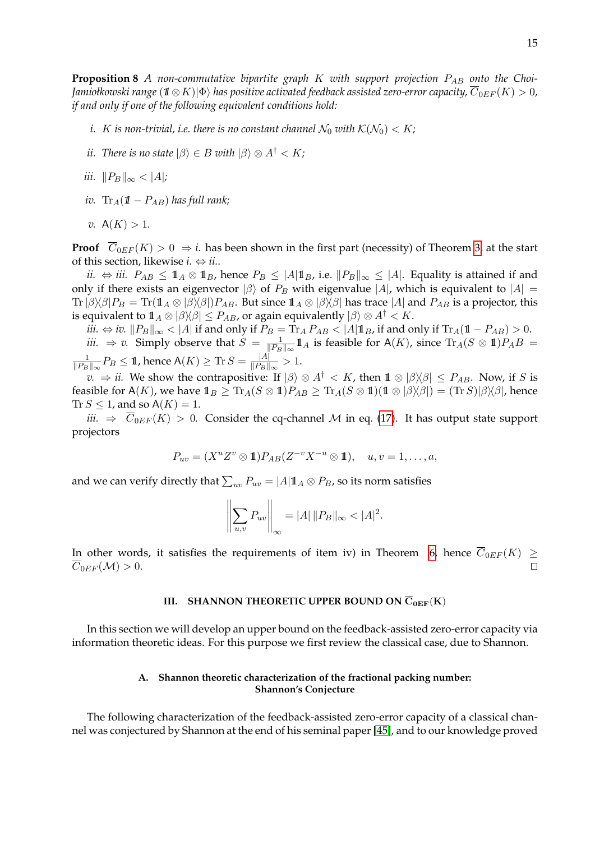**Proposition 8** *A non-commutative bipartite graph K with support projection P<sub>AB</sub> onto the Choi-Jamiołkowski range* ( $1 \otimes K$ )| $\Phi$ ) *has positive activated feedback assisted zero-error capacity,*  $\overline{C}_{0EF}(K) > 0$ *, if and only if one of the following equivalent conditions hold:*

- *i. K is non-trivial, i.e. there is no constant channel*  $\mathcal{N}_0$  *with*  $\mathcal{K}(\mathcal{N}_0) < K$ *;*
- *ii. There is no state*  $|\beta\rangle \in B$  *with*  $|\beta\rangle \otimes A^{\dagger} < K$ *;*
- *iii.*  $||P_B||_{\infty} < |A|$ ;
- *iv.* Tr<sub>A</sub>( $1\!\!1$  −  $P_{AB}$ ) has full rank;
- *v.*  $A(K) > 1$ .

**Proof**  $\overline{C}_{0EF}(K) > 0 \Rightarrow i$ . has been shown in the first part (necessity) of Theorem [3,](#page-7-2) at the start of this section, likewise  $i. \Leftrightarrow ii$ .

*ii.*  $\Leftrightarrow$  *iii.*  $P_{AB} \leq \mathbb{1}_A \otimes \mathbb{1}_B$ , hence  $P_B \leq |A| \mathbb{1}_B$ , i.e.  $||P_B||_{\infty} \leq |A|$ . Equality is attained if and only if there exists an eigenvector  $|\beta\rangle$  of  $P_B$  with eigenvalue  $|A|$ , which is equivalent to  $|A|$  =  $\text{Tr}|\beta\rangle\langle\beta|P_B = \text{Tr}(\mathbb{1}_A \otimes |\beta\rangle\langle\beta|)P_{AB}$ . But since  $\mathbb{1}_A \otimes |\beta\rangle\langle\beta|$  has trace  $|A|$  and  $P_{AB}$  is a projector, this is equivalent to  $1_A \otimes |\beta\rangle\langle \beta| \leq P_{AB}$ , or again equivalently  $|\beta\rangle \otimes A^{\dagger} < K$ .

*iii.* ⇔ *iv.*  $||P_B||_{\infty} < |A|$  if and only if  $P_B = \text{Tr}_A P_{AB} < |A| \mathbf{1}_B$ , if and only if  $\text{Tr}_A(\mathbf{1} - P_{AB}) > 0$ . *iii.*  $\Rightarrow v$ . Simply observe that  $S = \frac{1}{\|P_P\|}$  $\frac{1}{\|P_B\|_{\infty}} 1\!\!1_A$  is feasible for A(K), since  $\text{Tr}_A(S \otimes 1\!\!1)P_A B =$ 1  $\frac{1}{\|P_B\|_\infty}P_B\leq \mathbb{1}$ , hence  $\mathsf{A}(K)\geq \text{Tr}\, S=\frac{|A|}{\|P_B\|}$  $\frac{|A|}{\|P_B\|_{\infty}}>1.$ 

*v.*  $\Rightarrow$  *ii.* We show the contrapositive: If  $|\beta\rangle \otimes A^{\dagger} < K$ , then  $\mathbb{1} \otimes |\beta\rangle\langle\beta| \leq P_{AB}$ . Now, if S is feasible for A(K), we have  $1_B \geq \text{Tr}_A(S \otimes 1)P_{AB} \geq \text{Tr}_A(S \otimes 1)(1 \otimes |\beta\rangle\langle\beta|) = (\text{Tr }S)|\beta\rangle\langle\beta|$ , hence Tr  $S \leq 1$ , and so  $A(K) = 1$ .

*iii.*  $\Rightarrow$   $\overline{C}_{0EF}(K) > 0$ . Consider the cq-channel M in eq. [\(17\)](#page-14-2). It has output state support projectors

$$
P_{uv} = (X^u Z^v \otimes \mathbf{1}) P_{AB} (Z^{-v} X^{-u} \otimes \mathbf{1}), \quad u, v = 1, \dots, a,
$$

and we can verify directly that  $\sum_{uv} P_{uv} = |A| \mathbb{1}_A \otimes P_B$ , so its norm satisfies

$$
\left\|\sum_{u,v} P_{uv}\right\|_{\infty} = |A| \|P_B\|_{\infty} < |A|^2.
$$

In other words, it satisfies the requirements of item iv) in Theorem [6,](#page-10-1) hence  $\overline{C}_{0EF}(K) \geq$  $\overline{C}_{0EF}(\mathcal{M}) > 0.$ 

# <span id="page-15-0"></span>**III.** SHANNON THEORETIC UPPER BOUND ON  $\overline{C}_{0EF}(K)$

In this section we will develop an upper bound on the feedback-assisted zero-error capacity via information theoretic ideas. For this purpose we first review the classical case, due to Shannon.

# <span id="page-15-1"></span>**A. Shannon theoretic characterization of the fractional packing number: Shannon's Conjecture**

The following characterization of the feedback-assisted zero-error capacity of a classical channel was conjectured by Shannon at the end of his seminal paper [\[45\]](#page-32-2), and to our knowledge proved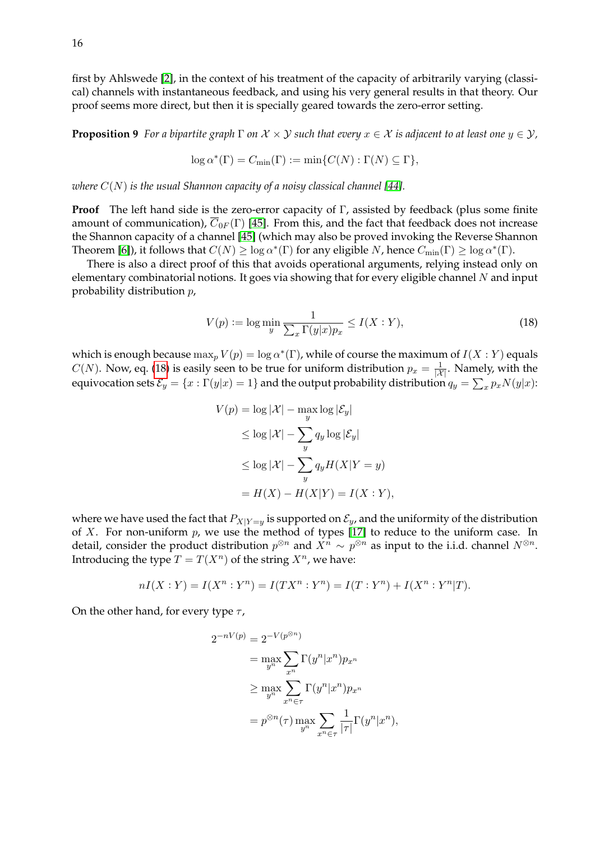first by Ahlswede [\[2\]](#page-31-10), in the context of his treatment of the capacity of arbitrarily varying (classical) channels with instantaneous feedback, and using his very general results in that theory. Our proof seems more direct, but then it is specially geared towards the zero-error setting.

<span id="page-16-1"></span>**Proposition 9** *For a bipartite graph*  $\Gamma$  *on*  $\mathcal{X} \times \mathcal{Y}$  *such that every*  $x \in \mathcal{X}$  *is adjacent to at least one*  $y \in \mathcal{Y}$ *,* 

$$
\log \alpha^*(\Gamma) = C_{\min}(\Gamma) := \min \{ C(N) : \Gamma(N) \subseteq \Gamma \},\
$$

*where*  $C(N)$  *is the usual Shannon capacity of a noisy classical channel* [\[44\]](#page-32-0)*.* 

**Proof** The left hand side is the zero-error capacity of Γ, assisted by feedback (plus some finite amount of communication),  $\overline{C}_{0F}(\Gamma)$  [\[45\]](#page-32-2). From this, and the fact that feedback does not increase the Shannon capacity of a channel [\[45\]](#page-32-2) (which may also be proved invoking the Reverse Shannon Theorem [\[6\]](#page-31-11)), it follows that  $C(N) \ge \log \alpha^*(\Gamma)$  for any eligible N, hence  $C_{\min}(\Gamma) \ge \log \alpha^*(\Gamma)$ .

There is also a direct proof of this that avoids operational arguments, relying instead only on elementary combinatorial notions. It goes via showing that for every eligible channel  $N$  and input probability distribution p,

<span id="page-16-0"></span>
$$
V(p) := \log \min_{y} \frac{1}{\sum_{x} \Gamma(y|x) p_x} \le I(X:Y),\tag{18}
$$

which is enough because  $\max_p V(p) = \log \alpha^*(\Gamma)$ , while of course the maximum of  $I(X:Y)$  equals  $C(N)$ . Now, eq. [\(18\)](#page-16-0) is easily seen to be true for uniform distribution  $p_x = \frac{1}{|X|}$ . Namely, with the equivocation sets  $\mathcal{E}_y=\{x:\Gamma(y|x)=1\}$  and the output probability distribution  $q_y=\sum_x p_x N(y|x)$ :

$$
V(p) = \log |\mathcal{X}| - \max_{y} \log |\mathcal{E}_y|
$$
  
\n
$$
\leq \log |\mathcal{X}| - \sum_{y} q_y \log |\mathcal{E}_y|
$$
  
\n
$$
\leq \log |\mathcal{X}| - \sum_{y} q_y H(X|Y = y)
$$
  
\n
$$
= H(X) - H(X|Y) = I(X:Y),
$$

where we have used the fact that  $P_{X|Y=y}$  is supported on  $\mathcal{E}_y$ , and the uniformity of the distribution of  $X$ . For non-uniform  $p$ , we use the method of types [\[17\]](#page-31-9) to reduce to the uniform case. In detail, consider the product distribution  $p^{\otimes n}$  and  $X^n \sim p^{\otimes n}$  as input to the i.i.d. channel  $N^{\otimes n}$ . Introducing the type  $T = T(X^n)$  of the string  $X^n$ , we have:

$$
nI(X:Y) = I(X^n:Y^n) = I(TX^n:Y^n) = I(T:Y^n) + I(X^n:Y^n|T).
$$

On the other hand, for every type  $\tau$ ,

$$
2^{-nV(p)} = 2^{-V(p^{\otimes n})}
$$
  
= 
$$
\max_{y^n} \sum_{x^n} \Gamma(y^n | x^n) p_{x^n}
$$
  

$$
\geq \max_{y^n} \sum_{x^n \in \tau} \Gamma(y^n | x^n) p_{x^n}
$$
  
= 
$$
p^{\otimes n}(\tau) \max_{y^n} \sum_{x^n \in \tau} \frac{1}{|\tau|} \Gamma(y^n | x^n),
$$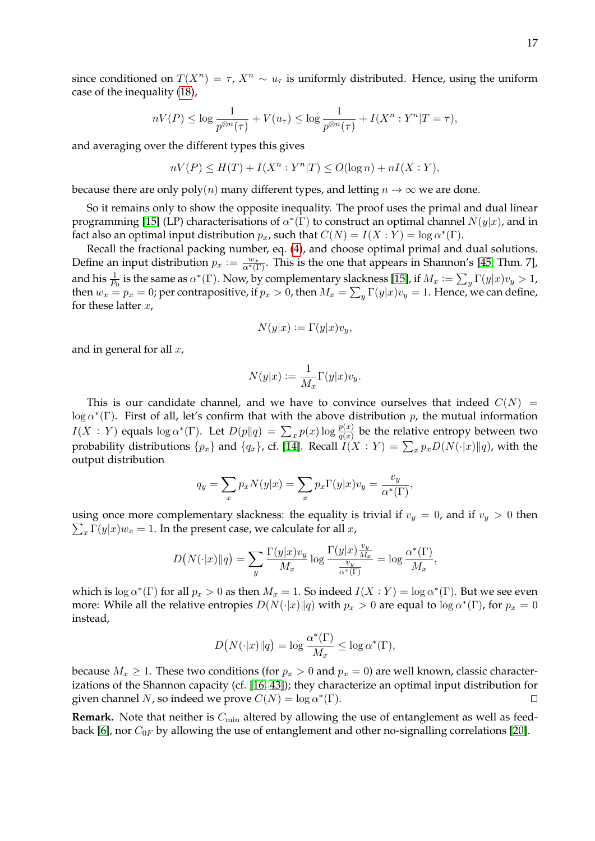since conditioned on  $T(X^n) = \tau$ ,  $X^n \sim u_\tau$  is uniformly distributed. Hence, using the uniform case of the inequality [\(18\)](#page-16-0),

$$
nV(P) \le \log \frac{1}{p^{\otimes n}(\tau)} + V(u_{\tau}) \le \log \frac{1}{p^{\otimes n}(\tau)} + I(X^n : Y^n | T = \tau),
$$

and averaging over the different types this gives

$$
nV(P) \le H(T) + I(X^n : Y^n | T) \le O(\log n) + nI(X : Y),
$$

because there are only  $poly(n)$  many different types, and letting  $n \to \infty$  we are done.

So it remains only to show the opposite inequality. The proof uses the primal and dual linear programming [\[15\]](#page-31-12) (LP) characterisations of  $\alpha^*(\Gamma)$  to construct an optimal channel  $N(y|x)$ , and in fact also an optimal input distribution  $p_x$ , such that  $C(N) = I(X : Y) = \log \alpha^*(\Gamma)$ .

Recall the fractional packing number, eq. [\(4\)](#page-4-1), and choose optimal primal and dual solutions. Define an input distribution  $p_x := \frac{w_x}{\alpha^*(\Gamma)}$ . This is the one that appears in Shannon's [\[45,](#page-32-2) Thm. 7], and his  $\frac{1}{P_0}$  is the same as  $\alpha^*(\Gamma)$ . Now, by complementary slackness [\[15\]](#page-31-12), if  $M_x := \sum_y \Gamma(y|x)v_y > 1$ , then  $w_x = p_x = 0$ ; per contrapositive, if  $p_x > 0$ , then  $M_x = \sum_y \Gamma(y|x)v_y = 1$ . Hence, we can define, for these latter  $x$ ,

$$
N(y|x) := \Gamma(y|x)v_y,
$$

and in general for all  $x$ ,

$$
N(y|x) := \frac{1}{M_x} \Gamma(y|x) v_y.
$$

This is our candidate channel, and we have to convince ourselves that indeed  $C(N)$  =  $\log \alpha^*(\Gamma)$ . First of all, let's confirm that with the above distribution p, the mutual information  $I(X:Y)$  equals  $\log \alpha^*(\Gamma)$ . Let  $D(p||q) = \sum_x p(x) \log \frac{p(x)}{q(x)}$  be the relative entropy between two probability distributions  $\{p_x\}$  and  $\{q_x\}$ , cf. [\[14\]](#page-31-1). Recall  $I(X:Y) = \sum_x p_x D(N(\cdot|x)||q)$ , with the output distribution

$$
q_y = \sum_x p_x N(y|x) = \sum_x p_x \Gamma(y|x) v_y = \frac{v_y}{\alpha^*(\Gamma)},
$$

 $\sum_{x} \Gamma(y|x)w_x = 1$ . In the present case, we calculate for all x, using once more complementary slackness: the equality is trivial if  $v_y = 0$ , and if  $v_y > 0$  then

$$
D\big(N(\cdot|x)\|q\big) = \sum_{y} \frac{\Gamma(y|x)v_y}{M_x} \log \frac{\Gamma(y|x)\frac{v_y}{M_x}}{\frac{v_y}{\alpha^*(\Gamma)}} = \log \frac{\alpha^*(\Gamma)}{M_x},
$$

which is  $\log \alpha^*(\Gamma)$  for all  $p_x > 0$  as then  $M_x = 1$ . So indeed  $I(X : Y) = \log \alpha^*(\Gamma)$ . But we see even more: While all the relative entropies  $D(N(\cdot|x)||q)$  with  $p_x > 0$  are equal to log  $\alpha^*(\Gamma)$ , for  $p_x = 0$ instead,

$$
D\big(N(\cdot|x)\|q\big) = \log \frac{\alpha^*(\Gamma)}{M_x} \le \log \alpha^*(\Gamma),
$$

because  $M_x \geq 1$ . These two conditions (for  $p_x > 0$  and  $p_x = 0$ ) are well known, classic characterizations of the Shannon capacity (cf. [\[16,](#page-31-13) [43\]](#page-32-14)); they characterize an optimal input distribution for given channel N, so indeed we prove  $C(N) = \log \alpha^*$  $(\Gamma)$ .

**Remark.** Note that neither is  $C_{\text{min}}$  altered by allowing the use of entanglement as well as feed-back [\[6\]](#page-31-11), nor  $C_{0F}$  by allowing the use of entanglement and other no-signalling correlations [\[20\]](#page-31-2).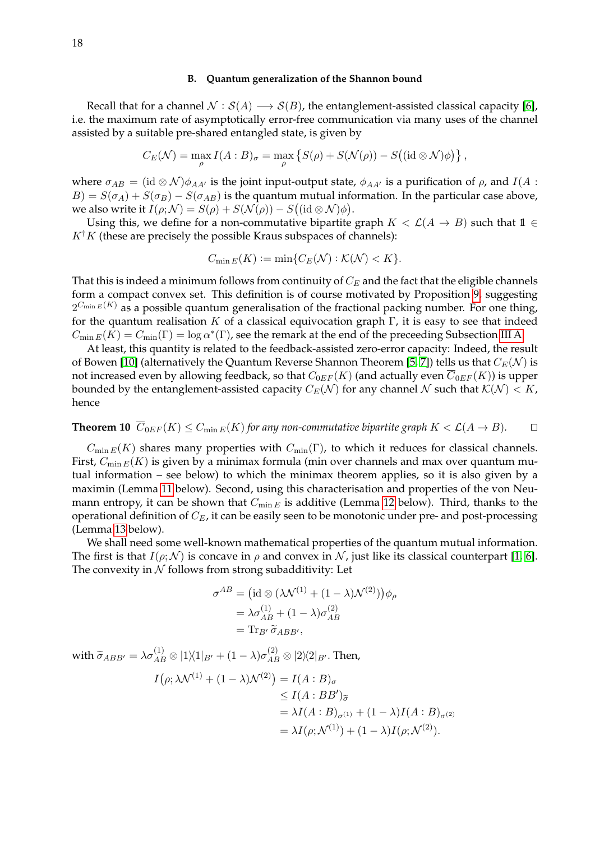#### <span id="page-18-0"></span>**B. Quantum generalization of the Shannon bound**

Recall that for a channel  $\mathcal{N} : \mathcal{S}(A) \longrightarrow \mathcal{S}(B)$ , the entanglement-assisted classical capacity [\[6\]](#page-31-11), i.e. the maximum rate of asymptotically error-free communication via many uses of the channel assisted by a suitable pre-shared entangled state, is given by

$$
C_E(\mathcal{N}) = \max_{\rho} I(A:B)_{\sigma} = \max_{\rho} \left\{ S(\rho) + S(\mathcal{N}(\rho)) - S((\mathrm{id} \otimes \mathcal{N})\phi) \right\},\,
$$

where  $\sigma_{AB} = (\mathrm{id} \otimes \mathcal{N})\phi_{AA'}$  is the joint input-output state,  $\phi_{AA'}$  is a purification of  $\rho$ , and  $I(A :$  $B$ ) =  $S(\sigma_A) + S(\sigma_B) - S(\sigma_{AB})$  is the quantum mutual information. In the particular case above, we also write it  $I(\rho;{\cal N})=S(\rho)+S({\cal N}(\rho))-S\bigl((\mathop{\rm id}\otimes{\cal N})\phi\bigr).$ 

Using this, we define for a non-commutative bipartite graph  $K < \mathcal{L}(A \rightarrow B)$  such that  $1 \in$  $K^{\dagger}K$  (these are precisely the possible Kraus subspaces of channels):

$$
C_{\min E}(K) := \min\{C_E(\mathcal{N}) : \mathcal{K}(\mathcal{N}) < K\}.
$$

That this is indeed a minimum follows from continuity of  $C_E$  and the fact that the eligible channels form a compact convex set. This definition is of course motivated by Proposition [9,](#page-16-1) suggesting  $2^{C_{\min E}(K)}$  as a possible quantum generalisation of the fractional packing number. For one thing, for the quantum realisation K of a classical equivocation graph  $\Gamma$ , it is easy to see that indeed  $C_{\min E}(K) = C_{\min}(\Gamma) = \log \alpha^*(\Gamma)$ , see the remark at the end of the preceeding Subsection [III A.](#page-15-1)

At least, this quantity is related to the feedback-assisted zero-error capacity: Indeed, the result of Bowen [\[10\]](#page-31-14) (alternatively the Quantum Reverse Shannon Theorem [\[5,](#page-31-5) [7\]](#page-31-15)) tells us that  $C_E(\mathcal{N})$  is not increased even by allowing feedback, so that  $C_{0EF}(K)$  (and actually even  $\overline{C}_{0EF}(K)$ ) is upper bounded by the entanglement-assisted capacity  $C_E(\mathcal{N})$  for any channel N such that  $\mathcal{K}(\mathcal{N}) < K$ , hence

<span id="page-18-1"></span>**Theorem 10**  $\overline{C}_{0EF}(K) \leq C_{\min E}(K)$  *for any non-commutative bipartite graph*  $K < \mathcal{L}(A \rightarrow B)$ *.*  $\square$ 

 $C_{\min E}(K)$  shares many properties with  $C_{\min}(\Gamma)$ , to which it reduces for classical channels. First,  $C_{\min E}(K)$  is given by a minimax formula (min over channels and max over quantum mutual information – see below) to which the minimax theorem applies, so it is also given by a maximin (Lemma [11](#page-19-0) below). Second, using this characterisation and properties of the von Neumann entropy, it can be shown that  $C_{\min E}$  is additive (Lemma [12](#page-19-1) below). Third, thanks to the operational definition of  $C_E$ , it can be easily seen to be monotonic under pre- and post-processing (Lemma [13](#page-20-0) below).

We shall need some well-known mathematical properties of the quantum mutual information. The first is that  $I(\rho; \mathcal{N})$  is concave in  $\rho$  and convex in  $\mathcal{N}$ , just like its classical counterpart [\[1,](#page-31-16) [6\]](#page-31-11). The convexity in  $N$  follows from strong subadditivity: Let

$$
\sigma^{AB} = (\text{id} \otimes (\lambda \mathcal{N}^{(1)} + (1 - \lambda) \mathcal{N}^{(2)})) \phi_{\rho}
$$
  
=  $\lambda \sigma_{AB}^{(1)} + (1 - \lambda) \sigma_{AB}^{(2)}$   
=  $\text{Tr}_{B'} \tilde{\sigma}_{ABB'},$ 

with  $\widetilde{\sigma}_{ABB'} = \lambda \sigma_{AB}^{(1)} \otimes |1\rangle\langle 1|_{B'} + (1-\lambda) \sigma_{AB}^{(2)} \otimes |2\rangle\langle 2|_{B'}$ . Then,

$$
I(\rho; \lambda \mathcal{N}^{(1)} + (1 - \lambda)\mathcal{N}^{(2)}) = I(A:B)_{\sigma}
$$
  
\n
$$
\leq I(A:BB')_{\widetilde{\sigma}}
$$
  
\n
$$
= \lambda I(A:B)_{\sigma^{(1)}} + (1 - \lambda)I(A:B)_{\sigma^{(2)}}
$$
  
\n
$$
= \lambda I(\rho; \mathcal{N}^{(1)}) + (1 - \lambda)I(\rho; \mathcal{N}^{(2)}).
$$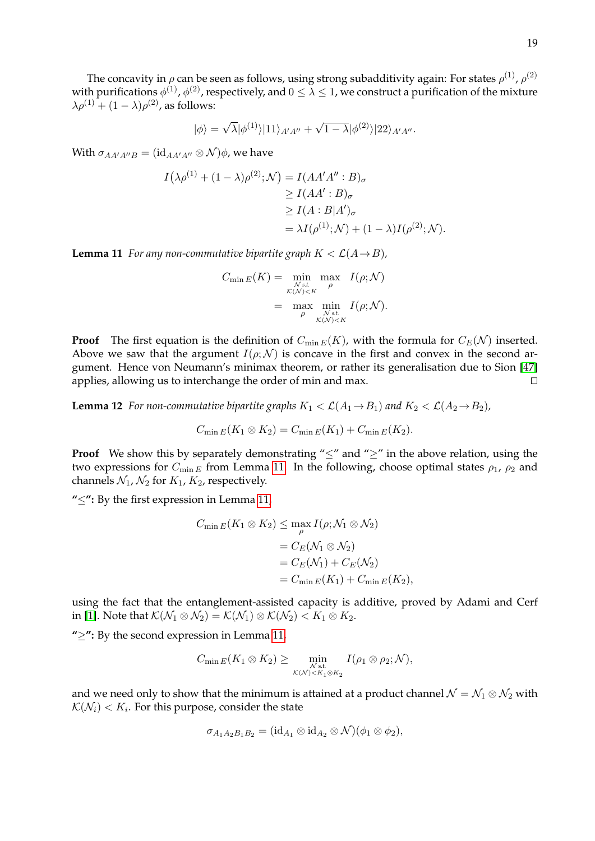The concavity in  $\rho$  can be seen as follows, using strong subadditivity again: For states  $\rho^{(1)}$ ,  $\rho^{(2)}$ with purifications  $\phi^{(1)}$  ,  $\phi^{(2)}$  , respectively, and  $0\leq\lambda\leq1$  , we construct a purification of the mixture  $\lambda \rho^{(1)} + (1 - \lambda) \rho^{(2)}$ , as follows:

$$
|\phi\rangle=\sqrt{\lambda}|\phi^{(1)}\rangle|11\rangle_{A'A''}+\sqrt{1-\lambda}|\phi^{(2)}\rangle|22\rangle_{A'A''}.
$$

With  $\sigma_{AA'A''B} = (\mathrm{id}_{AA'A''} \otimes \mathcal{N})\phi$ , we have

$$
I(\lambda \rho^{(1)} + (1 - \lambda)\rho^{(2)}; \mathcal{N}) = I(AA'A'': B)_{\sigma}
$$
  
\n
$$
\geq I(AA': B)_{\sigma}
$$
  
\n
$$
\geq I(A:B|A')_{\sigma}
$$
  
\n
$$
= \lambda I(\rho^{(1)}; \mathcal{N}) + (1 - \lambda)I(\rho^{(2)}; \mathcal{N}).
$$

<span id="page-19-0"></span>**Lemma 11** *For any non-commutative bipartite graph*  $K < \mathcal{L}(A \rightarrow B)$ *,* 

$$
C_{\min E}(K) = \min_{\substack{N \text{ s.t. } \rho \\ \kappa(N) < K}} \max_{\substack{\rho \\ \rho}} I(\rho; \mathcal{N})
$$
\n
$$
= \max_{\substack{\rho \\ \kappa(N) < K}} \min_{\substack{N \text{ s.t. } \kappa \\ \kappa(N) < K}} I(\rho; \mathcal{N}).
$$

**Proof** The first equation is the definition of  $C_{\min E}(K)$ , with the formula for  $C_E(\mathcal{N})$  inserted. Above we saw that the argument  $I(\rho; \mathcal{N})$  is concave in the first and convex in the second argument. Hence von Neumann's minimax theorem, or rather its generalisation due to Sion [\[47\]](#page-33-1) applies, allowing us to interchange the order of min and max.  $\Box$ 

<span id="page-19-1"></span>**Lemma 12** *For non-commutative bipartite graphs*  $K_1 < \mathcal{L}(A_1 \rightarrow B_1)$  *and*  $K_2 < \mathcal{L}(A_2 \rightarrow B_2)$ *,* 

$$
C_{\min E}(K_1 \otimes K_2) = C_{\min E}(K_1) + C_{\min E}(K_2).
$$

**Proof** We show this by separately demonstrating " $\leq$ " and " $\geq$ " in the above relation, using the two expressions for  $C_{\min E}$  from Lemma [11.](#page-19-0) In the following, choose optimal states  $\rho_1$ ,  $\rho_2$  and channels  $\mathcal{N}_1$ ,  $\mathcal{N}_2$  for  $K_1$ ,  $K_2$ , respectively.

**"**≤**":** By the first expression in Lemma [11,](#page-19-0)

$$
C_{\min E}(K_1 \otimes K_2) \leq \max_{\rho} I(\rho; \mathcal{N}_1 \otimes \mathcal{N}_2)
$$
  
=  $C_E(\mathcal{N}_1 \otimes \mathcal{N}_2)$   
=  $C_E(\mathcal{N}_1) + C_E(\mathcal{N}_2)$   
=  $C_{\min E}(K_1) + C_{\min E}(K_2),$ 

using the fact that the entanglement-assisted capacity is additive, proved by Adami and Cerf in [\[1\]](#page-31-16). Note that  $\mathcal{K}(\mathcal{N}_1 \otimes \mathcal{N}_2) = \mathcal{K}(\mathcal{N}_1) \otimes \mathcal{K}(\mathcal{N}_2) < K_1 \otimes K_2$ .

**"**≥**":** By the second expression in Lemma [11,](#page-19-0)

$$
C_{\min E}(K_1 \otimes K_2) \geq \min_{\substack{N \text{ s.t.} \\ \mathcal{K}(\mathcal{N}) < K_1 \otimes K_2}} I(\rho_1 \otimes \rho_2; \mathcal{N}),
$$

and we need only to show that the minimum is attained at a product channel  $\mathcal{N} = \mathcal{N}_1 \otimes \mathcal{N}_2$  with  $\mathcal{K}(\mathcal{N}_i) < K_i.$  For this purpose, consider the state

$$
\sigma_{A_1A_2B_1B_2} = (\mathrm{id}_{A_1} \otimes \mathrm{id}_{A_2} \otimes \mathcal{N})(\phi_1 \otimes \phi_2),
$$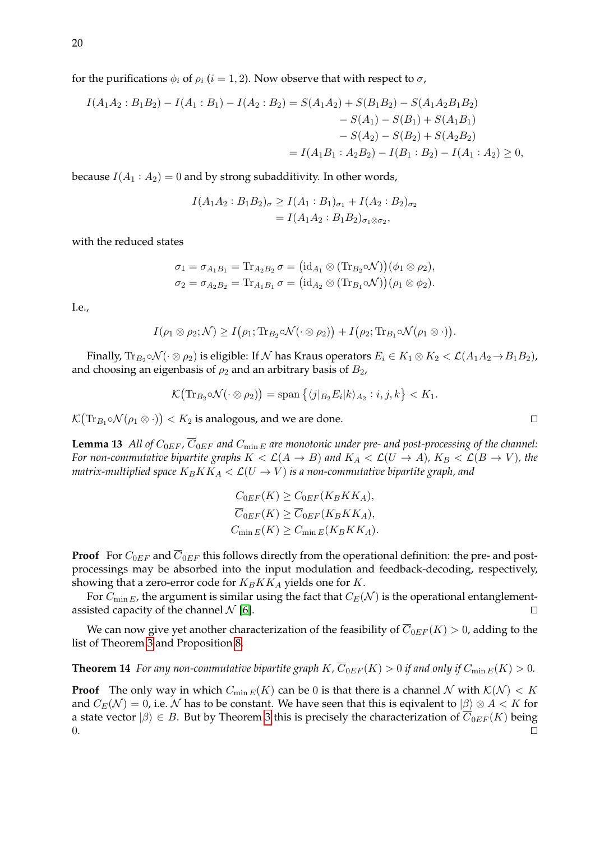for the purifications  $\phi_i$  of  $\rho_i$  (i = 1, 2). Now observe that with respect to  $\sigma$ ,

$$
I(A_1A_2:B_1B_2) - I(A_1:B_1) - I(A_2:B_2) = S(A_1A_2) + S(B_1B_2) - S(A_1A_2B_1B_2)
$$
  
\n
$$
- S(A_1) - S(B_1) + S(A_1B_1)
$$
  
\n
$$
- S(A_2) - S(B_2) + S(A_2B_2)
$$
  
\n
$$
= I(A_1B_1 : A_2B_2) - I(B_1 : B_2) - I(A_1 : A_2) \ge 0,
$$

because  $I(A_1 : A_2) = 0$  and by strong subadditivity. In other words,

$$
I(A_1A_2:B_1B_2)_{\sigma} \ge I(A_1:B_1)_{\sigma_1} + I(A_2:B_2)_{\sigma_2}
$$
  
=  $I(A_1A_2:B_1B_2)_{\sigma_1 \otimes \sigma_2}$ ,

with the reduced states

$$
\sigma_1 = \sigma_{A_1B_1} = \text{Tr}_{A_2B_2} \sigma = (id_{A_1} \otimes (\text{Tr}_{B_2} \circ \mathcal{N}))(\phi_1 \otimes \rho_2),
$$
  

$$
\sigma_2 = \sigma_{A_2B_2} = \text{Tr}_{A_1B_1} \sigma = (id_{A_2} \otimes (\text{Tr}_{B_1} \circ \mathcal{N}))(\rho_1 \otimes \phi_2).
$$

I.e.,

 $I(\rho_1 \otimes \rho_2; \mathcal{N}) \geq I(\rho_1; \text{Tr}_{B_2} \circ \mathcal{N}(\cdot \otimes \rho_2)) + I(\rho_2; \text{Tr}_{B_1} \circ \mathcal{N}(\rho_1 \otimes \cdot)).$ 

Finally,  $\text{Tr}_{B_2}\circ\mathcal{N}(\cdot\otimes\rho_2)$  is eligible: If  $\mathcal N$  has Kraus operators  $E_i\in K_1\otimes K_2<\mathcal L(A_1A_2\!\to\!B_1B_2)$ , and choosing an eigenbasis of  $\rho_2$  and an arbitrary basis of  $B_2$ ,

$$
\mathcal{K}(\text{Tr}_{B_2} \circ \mathcal{N}(\cdot \otimes \rho_2)) = \text{span}\left\{ \langle j|_{B_2} E_i |k \rangle_{A_2} : i, j, k \right\} < K_1.
$$

<span id="page-20-0"></span> $\mathcal{K}(\text{Tr}_{B_1} \circ \mathcal{N}(\rho_1 \otimes \cdot)) < K_2$  is analogous, and we are done.

**Lemma 13** All of  $C_{0EF}$ ,  $\overline{C}_{0EF}$  and  $C_{\min E}$  are monotonic under pre- and post-processing of the channel: *For non-commutative bipartite graphs*  $K < \mathcal{L}(A \rightarrow B)$  and  $K_A < \mathcal{L}(U \rightarrow A)$ ,  $K_B < \mathcal{L}(B \rightarrow V)$ , the *matrix-multiplied space*  $K_B K K_A < \mathcal{L}(U \rightarrow V)$  *is a non-commutative bipartite graph, and* 

$$
C_{0EF}(K) \ge C_{0EF}(K_BKK_A),
$$
  
\n
$$
\overline{C}_{0EF}(K) \ge \overline{C}_{0EF}(K_BKK_A),
$$
  
\n
$$
C_{\min E}(K) \ge C_{\min E}(K_BKK_A).
$$

**Proof** For  $C_{0EF}$  and  $\overline{C}_{0EF}$  this follows directly from the operational definition: the pre- and postprocessings may be absorbed into the input modulation and feedback-decoding, respectively, showing that a zero-error code for  $K_B K K_A$  yields one for K.

For  $C_{\min E}$ , the argument is similar using the fact that  $C_E(\mathcal{N})$  is the operational entanglementassisted capacity of the channel  $\mathcal N$  [\[6\]](#page-31-11).

We can now give yet another characterization of the feasibility of  $\overline{C}_{0EF}(K) > 0$ , adding to the list of Theorem [3](#page-7-2) and Proposition [8.](#page-14-3)

**Theorem 14** For any non-commutative bipartite graph  $K$ ,  $\overline{C}_{0EF}(K) > 0$  if and only if  $C_{\min E}(K) > 0$ .

**Proof** The only way in which  $C_{\min E}(K)$  can be 0 is that there is a channel N with  $K(\mathcal{N}) < K$ and  $C_E(\mathcal{N}) = 0$ , i.e. N has to be constant. We have seen that this is eqivalent to  $|\beta\rangle \otimes A < K$  for a state vector  $|\beta\rangle \in B$ . But by Theorem [3](#page-7-2) this is precisely the characterization of  $\overline{C}_{0EF}(K)$  being  $0.$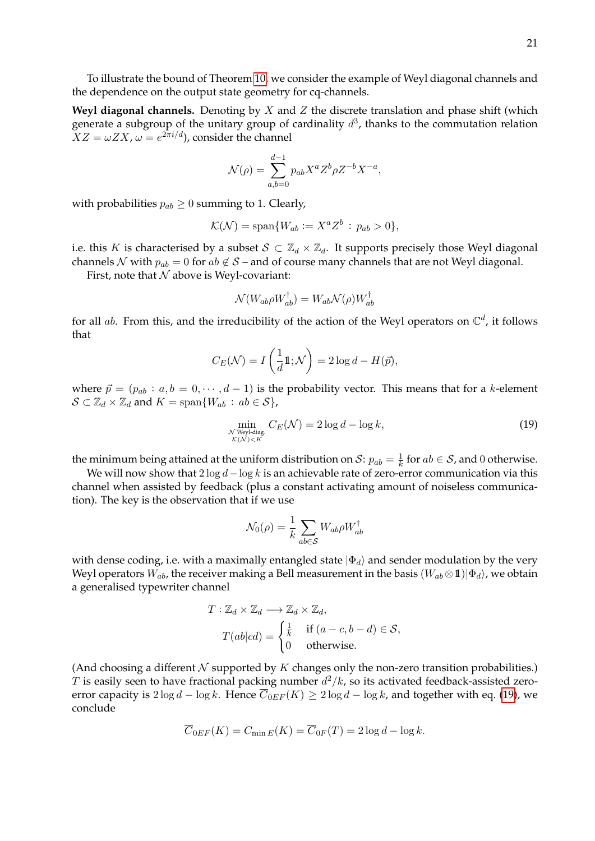To illustrate the bound of Theorem [10,](#page-18-1) we consider the example of Weyl diagonal channels and the dependence on the output state geometry for cq-channels.

**Weyl diagonal channels.** Denoting by  $X$  and  $Z$  the discrete translation and phase shift (which generate a subgroup of the unitary group of cardinality  $d^3$ , thanks to the commutation relation  $XZ = \omega ZX$ ,  $\omega = e^{2\pi i/d}$ , consider the channel

$$
\mathcal{N}(\rho) = \sum_{a,b=0}^{d-1} p_{ab} X^a Z^b \rho Z^{-b} X^{-a},
$$

with probabilities  $p_{ab} \geq 0$  summing to 1. Clearly,

$$
\mathcal{K}(\mathcal{N}) = \text{span}\{W_{ab} := X^a Z^b : p_{ab} > 0\},\
$$

i.e. this K is characterised by a subset  $S \subset \mathbb{Z}_d \times \mathbb{Z}_d$ . It supports precisely those Weyl diagonal channels N with  $p_{ab} = 0$  for  $ab \notin S$  – and of course many channels that are not Weyl diagonal.

First, note that  $N$  above is Weyl-covariant:

$$
\mathcal{N}(W_{ab}\rho W_{ab}^\dagger)=W_{ab}\mathcal{N}(\rho)W_{ab}^\dagger
$$

for all ab. From this, and the irreducibility of the action of the Weyl operators on  $\mathbb{C}^d$ , it follows that

$$
C_E(\mathcal{N}) = I\left(\frac{1}{d}\mathbb{1}; \mathcal{N}\right) = 2\log d - H(\vec{p}),
$$

where  $\vec{p} = (p_{ab} : a, b = 0, \dots, d-1)$  is the probability vector. This means that for a k-element  $\mathcal{S} \subset \mathbb{Z}_d \times \mathbb{Z}_d$  and  $K = \text{span}\{W_{ab} : ab \in \mathcal{S}\},\$ 

<span id="page-21-0"></span>
$$
\min_{\substack{N \text{ Weyl-diag.} \\ \mathcal{K}(\mathcal{N}) < K}} C_E(\mathcal{N}) = 2 \log d - \log k,\tag{19}
$$

the minimum being attained at the uniform distribution on S:  $p_{ab} = \frac{1}{k}$  $\frac{1}{k}$  for  $ab \in \mathcal{S}$ , and 0 otherwise.

We will now show that  $2 \log d - \log k$  is an achievable rate of zero-error communication via this channel when assisted by feedback (plus a constant activating amount of noiseless communication). The key is the observation that if we use

$$
\mathcal{N}_0(\rho) = \frac{1}{k} \sum_{ab \in \mathcal{S}} W_{ab} \rho W_{ab}^\dagger
$$

with dense coding, i.e. with a maximally entangled state  $|\Phi_d\rangle$  and sender modulation by the very Weyl operators  $W_{ab}$ , the receiver making a Bell measurement in the basis  $(W_{ab} \otimes \mathbf{1})|\Phi_d\rangle$ , we obtain a generalised typewriter channel

$$
T: \mathbb{Z}_d \times \mathbb{Z}_d \longrightarrow \mathbb{Z}_d \times \mathbb{Z}_d,
$$
  
\n
$$
T(ab|cd) = \begin{cases} \frac{1}{k} & \text{if } (a-c, b-d) \in \mathcal{S}, \\ 0 & \text{otherwise.} \end{cases}
$$

(And choosing a different  $N$  supported by  $K$  changes only the non-zero transition probabilities.) T is easily seen to have fractional packing number  $d^2/k$ , so its activated feedback-assisted zeroerror capacity is  $2 \log d - \log k$ . Hence  $\overline{C}_{0EF}(K) \geq 2 \log d - \log k$ , and together with eq. [\(19\)](#page-21-0), we conclude

$$
\overline{C}_{0EF}(K) = C_{\min E}(K) = \overline{C}_{0F}(T) = 2\log d - \log k.
$$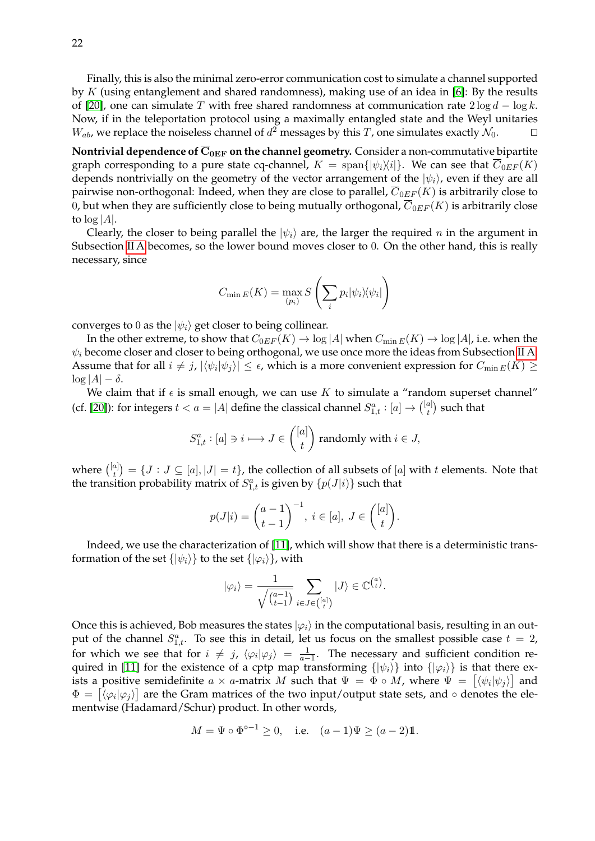Finally, this is also the minimal zero-error communication cost to simulate a channel supported by K (using entanglement and shared randomness), making use of an idea in [\[6\]](#page-31-11): By the results of [\[20\]](#page-31-2), one can simulate T with free shared randomness at communication rate  $2 \log d - \log k$ . Now, if in the teleportation protocol using a maximally entangled state and the Weyl unitaries  $W_{ab}$ , we replace the noiseless channel of  $d^2$  messages by this  $T$ , one simulates exactly  $\mathcal{N}_0$ .

**Nontrivial dependence of**  $\overline{C}_{0EF}$  **on the channel geometry.** Consider a non-commutative bipartite graph corresponding to a pure state cq-channel,  $K = \text{span}\{|\psi_i\rangle\langle i|\}.$  We can see that  $C_{0EF}(K)$ depends nontrivially on the geometry of the vector arrangement of the  $|\psi_i\rangle$ , even if they are all pairwise non-orthogonal: Indeed, when they are close to parallel,  $\overline{C}_{0EF}(K)$  is arbitrarily close to 0, but when they are sufficiently close to being mutually orthogonal,  $\overline{C}_{0EF}(K)$  is arbitrarily close to  $log|A|$ .

Clearly, the closer to being parallel the  $|\psi_i\rangle$  are, the larger the required n in the argument in Subsection [II A](#page-7-1) becomes, so the lower bound moves closer to 0. On the other hand, this is really necessary, since

$$
C_{\min E}(K) = \max_{(p_i)} S\left(\sum_i p_i |\psi_i\rangle\langle\psi_i|\right)
$$

converges to 0 as the  $|\psi_i\rangle$  get closer to being collinear.

In the other extreme, to show that  $C_{0EF}(K) \to \log |A|$  when  $C_{\min E}(K) \to \log |A|$ , i.e. when the  $\psi_i$  become closer and closer to being orthogonal, we use once more the ideas from Subsection [II A:](#page-7-1) Assume that for all  $i \neq j$ ,  $|\langle \psi_i | \psi_j \rangle| \leq \epsilon$ , which is a more convenient expression for  $C_{\min E}(K) \geq$  $\log |A| - \delta.$ 

We claim that if  $\epsilon$  is small enough, we can use K to simulate a "random superset channel" (cf. [\[20\]](#page-31-2)): for integers  $t < a = |A|$  define the classical channel  $S_{1,t}^a : [a] \rightarrow \binom{[a]}{t}$  $\binom{a}{t}$  such that

$$
S_{1,t}^{a}: [a] \ni i \longmapsto J \in \binom{[a]}{t} \text{ randomly with } i \in J,
$$

where  $\binom{[a]}{t}$  $\mathcal{F}_t^{[a]}$ ) =  $\{J: J\subseteq [a], |J|=t\}$ , the collection of all subsets of  $[a]$  with  $t$  elements. Note that the transition probability matrix of  $S^a_{1,t}$  is given by  $\{p(J|i)\}\)$  such that

$$
p(J|i) = {\binom{a-1}{t-1}}^{-1}, i \in [a], J \in {\binom{[a]}{t}}.
$$

Indeed, we use the characterization of [\[11\]](#page-31-6), which will show that there is a deterministic transformation of the set  $\{|\psi_i\rangle\}$  to the set  $\{|\varphi_i\rangle\}$ , with

$$
|\varphi_i\rangle = \frac{1}{\sqrt{\binom{a-1}{t-1}}} \sum_{i \in J \in \binom{[a]}{t}} |J\rangle \in \mathbb{C}^{\binom{a}{t}}.
$$

Once this is achieved, Bob measures the states  $|\varphi_i\rangle$  in the computational basis, resulting in an output of the channel  $S_{1,t}^a$ . To see this in detail, let us focus on the smallest possible case  $t = 2$ , for which we see that for  $i \neq j$ ,  $\langle \varphi_i | \varphi_j \rangle = \frac{1}{a-1}$ . The necessary and sufficient condition re-quired in [\[11\]](#page-31-6) for the existence of a cptp map transforming  $\{|\psi_i\rangle\}$  into  $\{|\varphi_i\rangle\}$  is that there exists a positive semidefinite  $a \times a$ -matrix  $M$  such that  $\Psi = \Phi \circ M$ , where  $\Psi = \left[ \langle \psi_i | \psi_j \rangle \right]$  and  $\Phi = [\langle \varphi_i | \varphi_j \rangle]$  are the Gram matrices of the two input/output state sets, and ∘ denotes the elementwise (Hadamard/Schur) product. In other words,

$$
M = \Psi \circ \Phi^{\circ - 1} \ge 0, \quad \text{i.e.} \quad (a - 1)\Psi \ge (a - 2)\mathbb{1}.
$$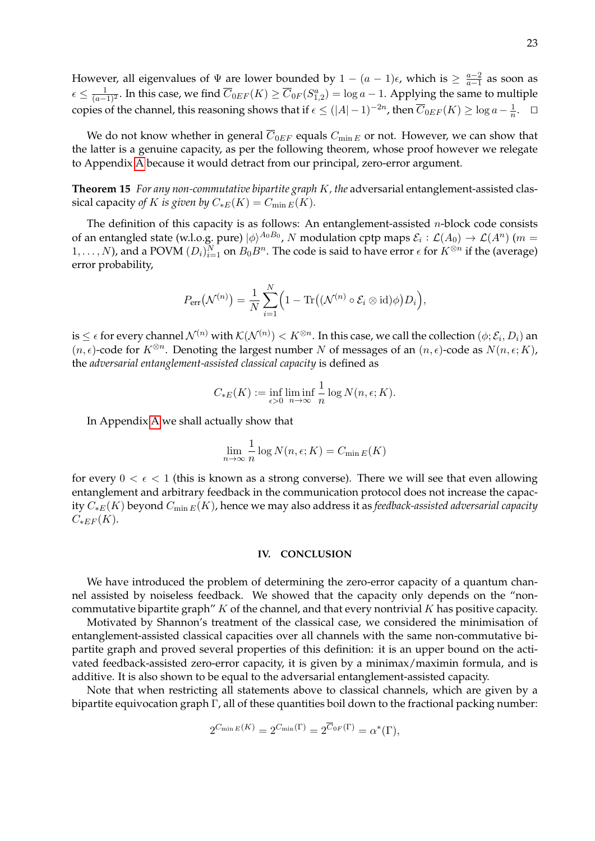However, all eigenvalues of  $\Psi$  are lower bounded by  $1 - (a - 1)\epsilon$ , which is  $\geq \frac{a-2}{a-1}$  $\frac{a-2}{a-1}$  as soon as  $\epsilon\leq\frac{1}{(a-1)^2}.$  In this case, we find  $\overline{C}_{0EF}(K)\geq\overline{C}_{0F}(S_{1,2}^a)=\log a-1.$  Applying the same to multiple copies of the channel, this reasoning shows that if  $\epsilon \leq (|A|-1)^{-2n}$ , then  $\overline{C}_{0EF}(K) \geq \log a - \frac{1}{n}$  $\frac{1}{n}$ .  $\Box$ 

We do not know whether in general  $\overline{C}_{0EF}$  equals  $C_{\min E}$  or not. However, we can show that the latter is a genuine capacity, as per the following theorem, whose proof however we relegate to Appendix [A](#page-25-0) because it would detract from our principal, zero-error argument.

<span id="page-23-1"></span>**Theorem 15** *For any non-commutative bipartite graph* K*, the* adversarial entanglement-assisted classical capacity *of* K *is given by*  $C_{*E}(K) = C_{\min E}(K)$ *.* 

The definition of this capacity is as follows: An entanglement-assisted  $n$ -block code consists of an entangled state (w.l.o.g. pure)  $|\phi\rangle^{A_0B_0}$ , N modulation cptp maps  $\mathcal{E}_i:\mathcal{L}(A_0)\to\mathcal{L}(A^n)$  (m =  $(1,\ldots,N)$ , and a POVM  $(D_i)_{i=1}^N$  on  $B_0B^n$ . The code is said to have error  $\epsilon$  for  $K^{\otimes n}$  if the (average) error probability,

$$
P_{\text{err}}(\mathcal{N}^{(n)}) = \frac{1}{N} \sum_{i=1}^{N} \Big( 1 - \text{Tr}\big( (\mathcal{N}^{(n)} \circ \mathcal{E}_i \otimes \text{id}) \phi \big) D_i \Big),
$$

is  $\leq\epsilon$  for every channel  $\mathcal{N}^{(n)}$  with  $\mathcal{K}(\mathcal{N}^{(n)})< K^{\otimes n}.$  In this case, we call the collection  $(\phi;\mathcal{E}_i,D_i)$  an  $(n, \epsilon)$ -code for  $K^{\otimes n}$ . Denoting the largest number N of messages of an  $(n, \epsilon)$ -code as  $N(n, \epsilon; K)$ , the *adversarial entanglement-assisted classical capacity* is defined as

$$
C_{*E}(K) := \inf_{\epsilon > 0} \liminf_{n \to \infty} \frac{1}{n} \log N(n, \epsilon; K).
$$

In Appendix [A](#page-25-0) we shall actually show that

$$
\lim_{n \to \infty} \frac{1}{n} \log N(n, \epsilon; K) = C_{\min E}(K)
$$

for every  $0 < \epsilon < 1$  (this is known as a strong converse). There we will see that even allowing entanglement and arbitrary feedback in the communication protocol does not increase the capacity C∗E(K) beyond Cmin <sup>E</sup>(K), hence we may also address it as *feedback-assisted adversarial capacity*  $C_{*EF}(K)$ .

#### <span id="page-23-0"></span>**IV. CONCLUSION**

We have introduced the problem of determining the zero-error capacity of a quantum channel assisted by noiseless feedback. We showed that the capacity only depends on the "noncommutative bipartite graph"  $K$  of the channel, and that every nontrivial  $K$  has positive capacity.

Motivated by Shannon's treatment of the classical case, we considered the minimisation of entanglement-assisted classical capacities over all channels with the same non-commutative bipartite graph and proved several properties of this definition: it is an upper bound on the activated feedback-assisted zero-error capacity, it is given by a minimax/maximin formula, and is additive. It is also shown to be equal to the adversarial entanglement-assisted capacity.

Note that when restricting all statements above to classical channels, which are given by a bipartite equivocation graph Γ, all of these quantities boil down to the fractional packing number:

$$
2^{C_{\min E}(K)} = 2^{C_{\min}(\Gamma)} = 2^{\overline{C}_{0F}(\Gamma)} = \alpha^*(\Gamma),
$$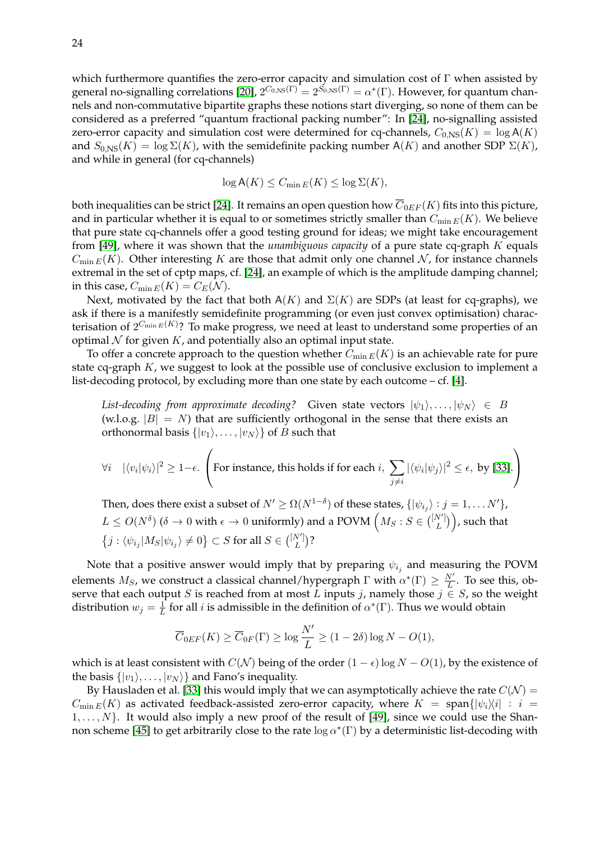which furthermore quantifies the zero-error capacity and simulation cost of  $\Gamma$  when assisted by general no-signalling correlations [\[20\]](#page-31-2),  $2^{C_{0,\text{NS}}(\Gamma)} = 2^{S_{0,\text{NS}}(\Gamma)} = \alpha^*(\Gamma)$ . However, for quantum channels and non-commutative bipartite graphs these notions start diverging, so none of them can be considered as a preferred "quantum fractional packing number": In [\[24\]](#page-32-7), no-signalling assisted zero-error capacity and simulation cost were determined for cq-channels,  $C_{0,NS}(K) = \log A(K)$ and  $S_{0,\text{NS}}(K) = \log \Sigma(K)$ , with the semidefinite packing number A(K) and another SDP  $\Sigma(K)$ , and while in general (for cq-channels)

$$
\log \mathsf{A}(K) \leq C_{\min E}(K) \leq \log \Sigma(K),
$$

both inequalities can be strict [\[24\]](#page-32-7). It remains an open question how  $\overline{C}_{0EF}(K)$  fits into this picture, and in particular whether it is equal to or sometimes strictly smaller than  $C_{\min E}(K)$ . We believe that pure state cq-channels offer a good testing ground for ideas; we might take encouragement from [\[49\]](#page-33-2), where it was shown that the *unambiguous capacity* of a pure state cq-graph K equals  $C_{\min E}(K)$ . Other interesting K are those that admit only one channel N, for instance channels extremal in the set of cptp maps, cf. [\[24\]](#page-32-7), an example of which is the amplitude damping channel; in this case,  $C_{\min E}(K) = C_E(\mathcal{N}).$ 

Next, motivated by the fact that both  $A(K)$  and  $\Sigma(K)$  are SDPs (at least for cq-graphs), we ask if there is a manifestly semidefinite programming (or even just convex optimisation) characterisation of  $2^{C_{\min E}(K)}$ ? To make progress, we need at least to understand some properties of an optimal  $N$  for given  $K$ , and potentially also an optimal input state.

To offer a concrete approach to the question whether  $C_{\min E}(K)$  is an achievable rate for pure state cq-graph  $K$ , we suggest to look at the possible use of conclusive exclusion to implement a list-decoding protocol, by excluding more than one state by each outcome – cf. [\[4\]](#page-31-7).

*List-decoding from approximate decoding?* Given state vectors  $|\psi_1\rangle, \ldots, |\psi_N\rangle \in B$ (w.l.o.g.  $|B| = N$ ) that are sufficiently orthogonal in the sense that there exists an orthonormal basis  $\{|v_1\rangle, \ldots, |v_N\rangle\}$  of B such that

$$
\forall i \quad |\langle v_i | \psi_i \rangle|^2 \ge 1 - \epsilon. \left( \text{For instance, this holds if for each } i, \sum_{j \neq i} |\langle \psi_i | \psi_j \rangle|^2 \le \epsilon, \text{ by [33].} \right)
$$

Then, does there exist a subset of  $N'\geq \Omega(N^{1-\delta})$  of these states,  $\{|\psi_{i_j}\rangle:j=1,\ldots N'\}$ ,  $L\leq O(N^{\delta})$  ( $\delta\to 0$  with  $\epsilon\to 0$  uniformly) and a POVM  $\Big(M_S:S\in\binom{[N']}{L}$  $L^{\left(N'\right)}$ ), such that  $\left\{j: \langle \psi_{i_j} | M_S | \psi_{i_j} \rangle \neq 0 \right\} \subset S$  for all  $S \in \binom{[N']}{L}$  $_{L}^{\scriptscriptstyle{(V')}}$ )?

Note that a positive answer would imply that by preparing  $\psi_{i_j}$  and measuring the POVM elements  $M_S$ , we construct a classical channel/hypergraph  $\Gamma$  with  $\alpha^*(\Gamma) \geq \frac{N'}{L}$  $\frac{N}{L}$ . To see this, observe that each output S is reached from at most L inputs j, namely those  $j \in S$ , so the weight distribution  $w_j = \frac{1}{L}$  $\frac{1}{L}$  for all *i* is admissible in the definition of  $\alpha^*(\Gamma)$ . Thus we would obtain

$$
\overline{C}_{0EF}(K) \ge \overline{C}_{0F}(\Gamma) \ge \log \frac{N'}{L} \ge (1 - 2\delta) \log N - O(1),
$$

which is at least consistent with  $C(\mathcal{N})$  being of the order  $(1 - \epsilon) \log N - O(1)$ , by the existence of the basis  $\{|v_1\rangle, \ldots, |v_N\rangle\}$  and Fano's inequality.

By Hausladen et al. [\[33\]](#page-32-15) this would imply that we can asymptotically achieve the rate  $C(\mathcal{N}) =$  $C_{\min E}(K)$  as activated feedback-assisted zero-error capacity, where  $K = \text{span}\{|\psi_i\rangle\langle i| : i =$  $1, \ldots, N$ . It would also imply a new proof of the result of [\[49\]](#page-33-2), since we could use the Shan-non scheme [\[45\]](#page-32-2) to get arbitrarily close to the rate  $\log \alpha^*(\Gamma)$  by a deterministic list-decoding with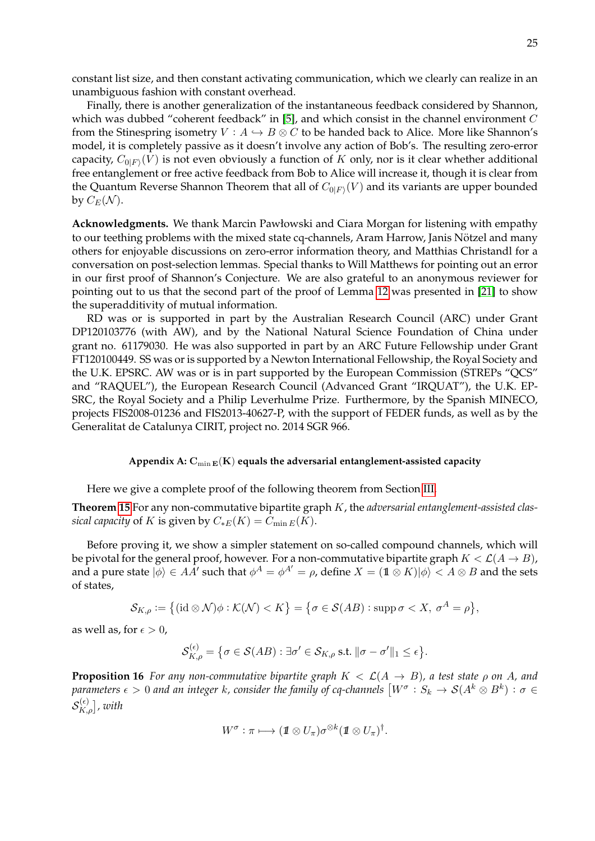constant list size, and then constant activating communication, which we clearly can realize in an unambiguous fashion with constant overhead.

Finally, there is another generalization of the instantaneous feedback considered by Shannon, which was dubbed "coherent feedback" in [\[5\]](#page-31-5), and which consist in the channel environment  $C$ from the Stinespring isometry  $V : A \hookrightarrow B \otimes C$  to be handed back to Alice. More like Shannon's model, it is completely passive as it doesn't involve any action of Bob's. The resulting zero-error capacity,  $C_{0|F\rangle}(V)$  is not even obviously a function of  $K$  only, nor is it clear whether additional free entanglement or free active feedback from Bob to Alice will increase it, though it is clear from the Quantum Reverse Shannon Theorem that all of  $C_{0|F\rangle}(V)$  and its variants are upper bounded by  $C_E(\mathcal{N}).$ 

**Acknowledgments.** We thank Marcin Pawłowski and Ciara Morgan for listening with empathy to our teething problems with the mixed state cq-channels, Aram Harrow, Janis Nötzel and many others for enjoyable discussions on zero-error information theory, and Matthias Christandl for a conversation on post-selection lemmas. Special thanks to Will Matthews for pointing out an error in our first proof of Shannon's Conjecture. We are also grateful to an anonymous reviewer for pointing out to us that the second part of the proof of Lemma [12](#page-19-1) was presented in [\[21\]](#page-31-17) to show the superadditivity of mutual information.

RD was or is supported in part by the Australian Research Council (ARC) under Grant DP120103776 (with AW), and by the National Natural Science Foundation of China under grant no. 61179030. He was also supported in part by an ARC Future Fellowship under Grant FT120100449. SS was or is supported by a Newton International Fellowship, the Royal Society and the U.K. EPSRC. AW was or is in part supported by the European Commission (STREPs "QCS" and "RAQUEL"), the European Research Council (Advanced Grant "IRQUAT"), the U.K. EP-SRC, the Royal Society and a Philip Leverhulme Prize. Furthermore, by the Spanish MINECO, projects FIS2008-01236 and FIS2013-40627-P, with the support of FEDER funds, as well as by the Generalitat de Catalunya CIRIT, project no. 2014 SGR 966.

#### <span id="page-25-0"></span>Appendix A:  $C_{\min E}(K)$  equals the adversarial entanglement-assisted capacity

Here we give a complete proof of the following theorem from Section [III.](#page-15-0)

**Theorem [15](#page-23-1)** For any non-commutative bipartite graph K, the *adversarial entanglement-assisted classical capacity* of K is given by  $C_{*E}(K) = C_{\min E}(K)$ .

Before proving it, we show a simpler statement on so-called compound channels, which will be pivotal for the general proof, however. For a non-commutative bipartite graph  $K < \mathcal{L}(A \rightarrow B)$ , and a pure state  $|\phi\rangle \in AA'$  such that  $\phi^A = \phi^{A'} = \rho$ , define  $X = (1 \otimes K) |\phi\rangle < A \otimes B$  and the sets of states,

$$
\mathcal{S}_{K,\rho} := \big\{ (\mathrm{id} \otimes \mathcal{N}) \phi : \mathcal{K}(\mathcal{N}) < K \big\} = \big\{ \sigma \in \mathcal{S}(AB) : \mathrm{supp} \, \sigma < X, \, \sigma^A = \rho \big\},
$$

as well as, for  $\epsilon > 0$ ,

$$
\mathcal{S}_{K,\rho}^{(\epsilon)} = \big\{ \sigma \in \mathcal{S}(AB) : \exists \sigma' \in \mathcal{S}_{K,\rho} \text{ s.t. } ||\sigma - \sigma'||_1 \leq \epsilon \big\}.
$$

<span id="page-25-1"></span>**Proposition 16** *For any non-commutative bipartite graph*  $K < \mathcal{L}(A \rightarrow B)$ *, a test state*  $\rho$  *on A, and* parameters  $\epsilon>0$  and an integer  $k$ , consider the family of cq-channels  $\big[W^\sigma:S_k\to\mathcal S(A^k\otimes B^k):\sigma\in$  $\mathcal{S}^{(\epsilon)}_{K,\rho}]$  , with

$$
W^{\sigma}:\pi\longmapsto (\hbox{\rm 1}{\hskip -2.8 pt}\otimes U_\pi)\sigma^{\otimes k}(\hbox{\rm 1}{\hskip -2.8 pt}\otimes U_\pi)^\dagger.
$$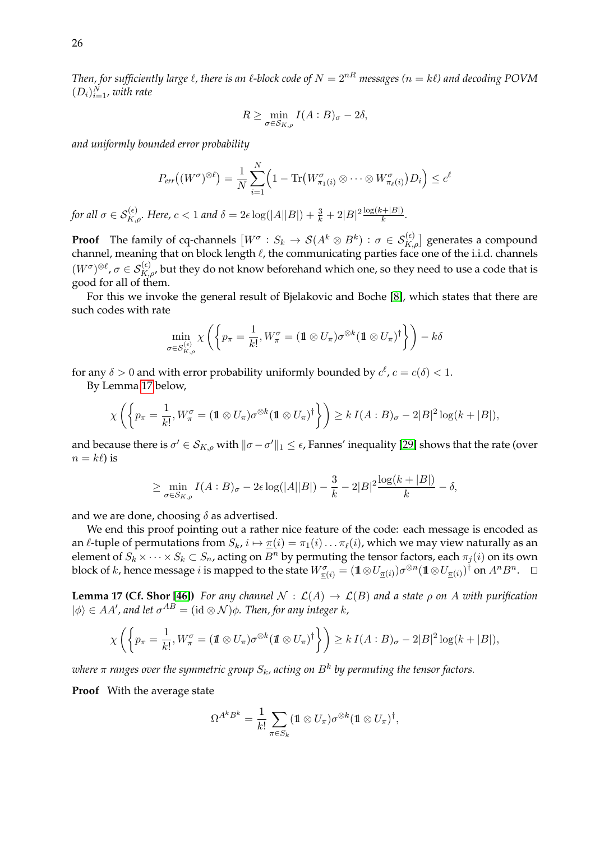*Then, for sufficiently large*  $\ell$ , there is an  $\ell$ -block code of  $N = 2^{nR}$  messages ( $n = k\ell$ ) and decoding POVM  $(D_i)_{i=1}^N$ , with rate

$$
R \ge \min_{\sigma \in \mathcal{S}_{K,\rho}} I(A:B)_{\sigma} - 2\delta,
$$

*and uniformly bounded error probability*

$$
P_{err}((W^{\sigma})^{\otimes \ell}) = \frac{1}{N} \sum_{i=1}^{N} \left(1 - \text{Tr}\left(W^{\sigma}_{\pi_1(i)} \otimes \cdots \otimes W^{\sigma}_{\pi_{\ell}(i)}\right)D_i\right) \leq c^{\ell}
$$

*for all*  $\sigma \in \mathcal{S}_{K,\rho}^{(\epsilon)}$ . Here,  $c < 1$  and  $\delta = 2\epsilon \log(|A||B|) + \frac{3}{k} + 2|B|^2 \frac{\log(k+|B|)}{k}$ .

**Proof** The family of cq-channels  $[W^{\sigma}: S_k \to \mathcal{S}(A^k \otimes B^k) : \sigma \in \mathcal{S}_{K,\rho}^{(\epsilon)}]$  generates a compound channel, meaning that on block length  $\ell$ , the communicating parties face one of the i.i.d. channels  $(W^{\sigma})^{\otimes \ell}$ ,  $\sigma \in S_{K,\rho'}^{(\epsilon)}$ , but they do not know beforehand which one, so they need to use a code that is good for all of them.

For this we invoke the general result of Bjelakovic and Boche [\[8\]](#page-31-18), which states that there are such codes with rate

$$
\min_{\sigma \in \mathcal{S}_{K,\rho}^{(\epsilon)}} \chi \left( \left\{ p_{\pi} = \frac{1}{k!}, W_{\pi}^{\sigma} = (\mathbb{1} \otimes U_{\pi}) \sigma^{\otimes k} (\mathbb{1} \otimes U_{\pi})^{\dagger} \right\} \right) - k \delta
$$

for any  $\delta > 0$  and with error probability uniformly bounded by  $c^{\ell}$ ,  $c = c(\delta) < 1$ .

By Lemma [17](#page-26-0) below,

$$
\chi\left(\left\{p_{\pi}=\frac{1}{k!},W_{\pi}^{\sigma}=(\mathbb{1}\otimes U_{\pi})\sigma^{\otimes k}(\mathbb{1}\otimes U_{\pi})^{\dagger}\right\}\right)\geq k\,I(A:B)_{\sigma}-2|B|^{2}\log(k+|B|),
$$

and because there is  $\sigma' \in \mathcal{S}_{K,\rho}$  with  $\|\sigma-\sigma'\|_1 \leq \epsilon$ , Fannes' inequality [\[29\]](#page-32-16) shows that the rate (over  $n = k\ell$ ) is

$$
\geq \min_{\sigma \in \mathcal{S}_{K,\rho}} I(A:B)_{\sigma} - 2\epsilon \log(|A||B|) - \frac{3}{k} - 2|B|^2 \frac{\log(k+|B|)}{k} - \delta,
$$

and we are done, choosing  $\delta$  as advertised.

We end this proof pointing out a rather nice feature of the code: each message is encoded as an  $\ell$ -tuple of permutations from  $S_k$ ,  $i \mapsto \pi(i) = \pi_1(i) \dots \pi_\ell(i)$ , which we may view naturally as an element of  $S_k \times \cdots \times S_k \subset S_n$ , acting on  $B^n$  by permuting the tensor factors, each  $\pi_j(i)$  on its own block of  $k$ , hence message  $i$  is mapped to the state  $W^{\sigma}_{\pi(i)}=(1\!\!1 \otimes U_{\pi(i)})\sigma^{\otimes n}(1\!\!1 \otimes U_{\pi(i)})^{\dag}$  on  $A^nB^n.$   $\;\;\Box$ 

<span id="page-26-0"></span>**Lemma 17 (Cf. Shor [\[46\]](#page-32-17))** For any channel  $\mathcal{N} : \mathcal{L}(A) \to \mathcal{L}(B)$  and a state  $\rho$  on A with purification  $|\phi\rangle \in AA'$ , and let  $\sigma^{AB} = (\mathrm{id} \otimes \mathcal{N})\phi$ . Then, for any integer k,

$$
\chi\left(\left\{p_{\pi}=\frac{1}{k!},W_{\pi}^{\sigma}=(\mathbf{1}\otimes U_{\pi})\sigma^{\otimes k}(\mathbf{1}\otimes U_{\pi})^{\dagger}\right\}\right)\geq k\,I(A:B)_{\sigma}-2|B|^{2}\log(k+|B|),
$$

where  $\pi$  ranges over the symmetric group  $S_k$ , acting on  $B^k$  by permuting the tensor factors.

**Proof** With the average state

$$
\Omega^{A^k B^k} = \frac{1}{k!} \sum_{\pi \in S_k} (\hbox{\rm 1}{\hskip -2.8 pt}\otimes U_\pi) \sigma^{\otimes k} (\hbox{\rm 1}{\hskip -2.8 pt}\otimes U_\pi)^\dagger,
$$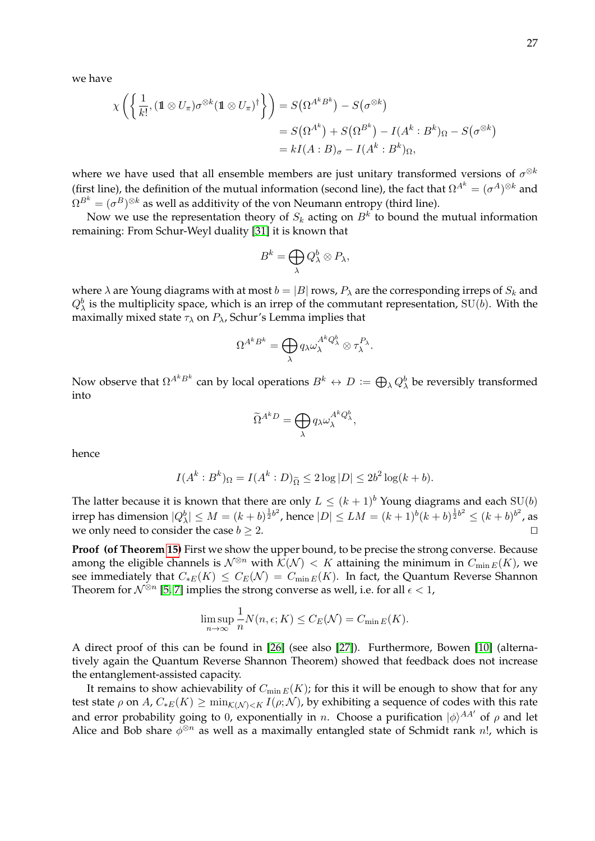we have

$$
\chi\left(\left\{\frac{1}{k!}, (\mathbf{1}\otimes U_{\pi})\sigma^{\otimes k}(\mathbf{1}\otimes U_{\pi})^{\dagger}\right\}\right) = S(\Omega^{A^{k}B^{k}}) - S(\sigma^{\otimes k})
$$
  
=  $S(\Omega^{A^{k}}) + S(\Omega^{B^{k}}) - I(A^{k}:B^{k})_{\Omega} - S(\sigma^{\otimes k})$   
=  $kI(A:B)_{\sigma} - I(A^{k}:B^{k})_{\Omega}$ ,

where we have used that all ensemble members are just unitary transformed versions of  $\sigma^{\otimes k}$ (first line), the definition of the mutual information (second line), the fact that  $\Omega^{A^k} = (\sigma^A)^{\otimes k}$  and  $\Omega^{B^{k}}=(\sigma^{B})^{\otimes k}$  as well as additivity of the von Neumann entropy (third line).

Now we use the representation theory of  $S_k$  acting on  $B^k$  to bound the mutual information remaining: From Schur-Weyl duality [\[31\]](#page-32-12) it is known that

$$
B^k = \bigoplus_{\lambda} Q_{\lambda}^b \otimes P_{\lambda},
$$

where  $\lambda$  are Young diagrams with at most  $b = |B|$  rows,  $P_{\lambda}$  are the corresponding irreps of  $S_k$  and  $Q^b_\lambda$  is the multiplicity space, which is an irrep of the commutant representation, SU(*b*). With the maximally mixed state  $\tau_{\lambda}$  on  $P_{\lambda}$ , Schur's Lemma implies that

$$
\Omega^{A^k B^k} = \bigoplus_{\lambda} q_{\lambda} \omega_{\lambda}^{A^k Q_{\lambda}^b} \otimes \tau_{\lambda}^{P_{\lambda}}.
$$

Now observe that  $\Omega^{A^kB^k}$  can by local operations  $B^k\leftrightarrow D\,:=\bigoplus_\lambda Q^b_\lambda$  be reversibly transformed into

$$
\widetilde{\Omega}^{A^k D} = \bigoplus_{\lambda} q_{\lambda} \omega_{\lambda}^{A^k Q_{\lambda}^b},
$$

hence

$$
I(Ak: Bk)\Omega = I(Ak: D)\widetilde{\Omega} \le 2 log |D| \le 2b2 log(k+b).
$$

The latter because it is known that there are only  $L \le (k+1)^b$  Young diagrams and each SU(b) irrep has dimension  $|Q_\lambda^b|\leq M=(k+b)^{\frac{1}{2}b^2}$ , hence  $|D|\leq LM=(k+1)^b(k+b)^{\frac{1}{2}b^2}\leq (k+b)^{b^2}$ , as we only need to consider the case  $b > 2$ .

**Proof (of Theorem [15\)](#page-23-1)** First we show the upper bound, to be precise the strong converse. Because among the eligible channels is  $\mathcal{N}^{\otimes n}$  with  $\mathcal{K}(\mathcal{N}) < K$  attaining the minimum in  $C_{\min E}(K)$ , we see immediately that  $C_{*E}(K) \leq C_E(\mathcal{N}) = C_{\min E}(K)$ . In fact, the Quantum Reverse Shannon Theorem for  $\mathcal{N}^{\otimes n}$  [\[5,](#page-31-5) [7\]](#page-31-15) implies the strong converse as well, i.e. for all  $\epsilon < 1$ ,

$$
\limsup_{n \to \infty} \frac{1}{n} N(n, \epsilon; K) \le C_E(\mathcal{N}) = C_{\min E}(K).
$$

A direct proof of this can be found in [\[26\]](#page-32-18) (see also [\[27\]](#page-32-19)). Furthermore, Bowen [\[10\]](#page-31-14) (alternatively again the Quantum Reverse Shannon Theorem) showed that feedback does not increase the entanglement-assisted capacity.

It remains to show achievability of  $C_{\min E}(K)$ ; for this it will be enough to show that for any test state  $\rho$  on A,  $C_{*E}(K) \ge \min_{K(N) < K} I(\rho; \mathcal{N})$ , by exhibiting a sequence of codes with this rate and error probability going to 0, exponentially in n. Choose a purification  $|\phi\rangle^{AA'}$  of  $\rho$  and let Alice and Bob share  $\phi^{\otimes n}$  as well as a maximally entangled state of Schmidt rank n!, which is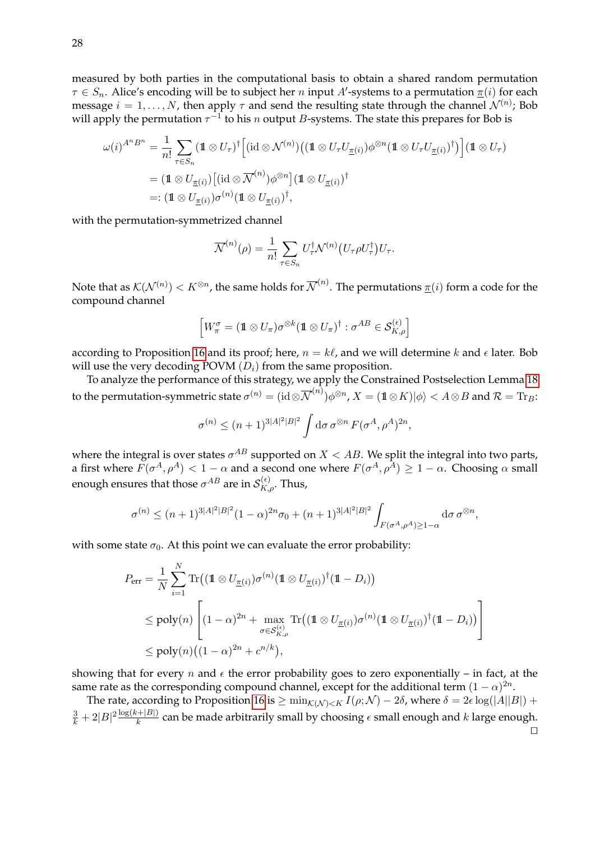measured by both parties in the computational basis to obtain a shared random permutation  $\tau \in S_n$ . Alice's encoding will be to subject her n input A'-systems to a permutation  $\pi(i)$  for each message  $i = 1, \ldots, N$ , then apply  $\tau$  and send the resulting state through the channel  $\mathcal{N}^{(n)}$ ; Bob will apply the permutation  $\tau^{-1}$  to his n output B-systems. The state this prepares for Bob is

$$
\omega(i)^{A^n B^n} = \frac{1}{n!} \sum_{\tau \in S_n} (\mathbf{1} \otimes U_{\tau})^{\dagger} \Big[ (\mathrm{id} \otimes \mathcal{N}^{(n)}) \big( (\mathbf{1} \otimes U_{\tau} U_{\underline{\pi}(i)}) \phi^{\otimes n} (\mathbf{1} \otimes U_{\tau} U_{\underline{\pi}(i)})^{\dagger} \big) \Big] (\mathbf{1} \otimes U_{\tau})
$$
  
= (\mathbf{1} \otimes U\_{\underline{\pi}(i)}) \big[ (\mathrm{id} \otimes \overline{\mathcal{N}}^{(n)}) \phi^{\otimes n} \big] (\mathbf{1} \otimes U\_{\underline{\pi}(i)})^{\dagger}  
=: (\mathbf{1} \otimes U\_{\underline{\pi}(i)}) \sigma^{(n)} (\mathbf{1} \otimes U\_{\underline{\pi}(i)})^{\dagger},

with the permutation-symmetrized channel

$$
\overline{\mathcal{N}}^{(n)}(\rho) = \frac{1}{n!} \sum_{\tau \in S_n} U_{\tau}^{\dagger} \mathcal{N}^{(n)}(U_{\tau} \rho U_{\tau}^{\dagger}) U_{\tau}.
$$

Note that as  $\mathcal{K}(\mathcal{N}^{(n)})< K^{\otimes n}$ , the same holds for  $\overline{\mathcal{N}}^{(n)}.$  The permutations  $\underline{\pi}(i)$  form a code for the compound channel

$$
\left[W_{\pi}^{\sigma}=(\mathbb{1}\otimes U_{\pi})\sigma^{\otimes k}(\mathbb{1}\otimes U_{\pi})^{\dagger}:\sigma^{AB}\in\mathcal{S}_{K,\rho}^{(\epsilon)}\right]
$$

according to Proposition [16](#page-25-1) and its proof; here,  $n = k\ell$ , and we will determine k and  $\epsilon$  later. Bob will use the very decoding POVM  $(D_i)$  from the same proposition.

To analyze the performance of this strategy, we apply the Constrained Postselection Lemma [18](#page-29-1) to the permutation-symmetric state  $\sigma^{(n)}= (\mathrm{id}\mathop{\otimes} \overline{\mathcal{N}}^{(n)})\phi^{\otimes n}$ ,  $X=(1\!\!1\mathop{\otimes} K)|\phi\rangle < A\mathop{\otimes} B$  and  $\mathcal{R}=\mathrm{Tr}_B\mathcal{R}$ 

$$
\sigma^{(n)} \le (n+1)^{3|A|^2|B|^2} \int \mathrm{d}\sigma \, \sigma^{\otimes n} F(\sigma^A, \rho^A)^{2n},
$$

where the integral is over states  $\sigma^{AB}$  supported on  $X < AB$ . We split the integral into two parts, a first where  $F(\sigma^A, \rho^A) < 1-\alpha$  and a second one where  $F(\sigma^A, \rho^A) \ge 1-\alpha$ . Choosing  $\alpha$  small enough ensures that those  $\sigma^{AB}$  are in  $\mathcal{S}^{(\epsilon)}_{K,\rho}.$  Thus,

$$
\sigma^{(n)} \le (n+1)^{3|A|^2|B|^2}(1-\alpha)^{2n}\sigma_0 + (n+1)^{3|A|^2|B|^2} \int_{F(\sigma^A,\rho^A) \ge 1-\alpha} d\sigma \,\sigma^{\otimes n},
$$

with some state  $\sigma_0$ . At this point we can evaluate the error probability:

$$
P_{\text{err}} = \frac{1}{N} \sum_{i=1}^{N} \text{Tr} \big( (\mathbf{1} \otimes U_{\underline{\pi}(i)}) \sigma^{(n)} (\mathbf{1} \otimes U_{\underline{\pi}(i)})^{\dagger} (\mathbf{1} - D_i) \big)
$$
  
\$\leq\$ poly(*n*) 
$$
\left[ (1 - \alpha)^{2n} + \max_{\sigma \in S_{K,\rho}^{(\epsilon)}} \text{Tr} \big( (\mathbf{1} \otimes U_{\underline{\pi}(i)}) \sigma^{(n)} (\mathbf{1} \otimes U_{\underline{\pi}(i)})^{\dagger} (\mathbf{1} - D_i) \big) \right]
$$
  
\$\leq\$ poly(*n*)  $((1 - \alpha)^{2n} + c^{n/k}),$ 

showing that for every *n* and  $\epsilon$  the error probability goes to zero exponentially – in fact, at the same rate as the corresponding compound channel, except for the additional term  $(1 - \alpha)^{2n}$ .

The rate, according to Proposition [16](#page-25-1) is  $\geq \min_{K(N) \leq K} I(\rho; \mathcal{N}) - 2\delta$ , where  $\delta = 2\epsilon \log(|A||B|) +$  $\frac{3}{k}+2|B|^2\frac{\log(k+|B|)}{k}$  can be made arbitrarily small by choosing  $\epsilon$  small enough and  $k$  large enough.  $\Box$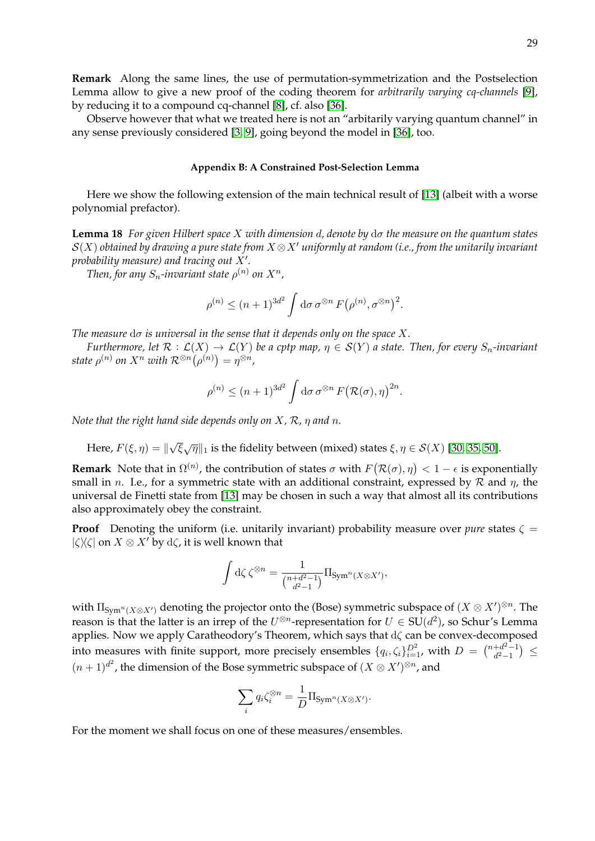Observe however that what we treated here is not an "arbitarily varying quantum channel" in any sense previously considered [\[3,](#page-31-20) [9\]](#page-31-19), going beyond the model in [\[36\]](#page-32-20), too.

#### <span id="page-29-1"></span><span id="page-29-0"></span>**Appendix B: A Constrained Post-Selection Lemma**

Here we show the following extension of the main technical result of [\[13\]](#page-31-21) (albeit with a worse polynomial prefactor).

**Lemma 18** *For given Hilbert space* X *with dimension* d*, denote by* dσ *the measure on the quantum states*  $S(X)$  *obtained by drawing a pure state from*  $X \otimes X'$  *uniformly at random (i.e., from the unitarily invariant* probability measure) and tracing out  $X'$ .

Then, for any  $S_n$ -invariant state  $\rho^{(n)}$  on  $X^n$ ,

$$
\rho^{(n)} \le (n+1)^{3d^2} \int \mathrm{d}\sigma \,\sigma^{\otimes n} F(\rho^{(n)}, \sigma^{\otimes n})^2.
$$

*The measure*  $d\sigma$  *is universal in the sense that it depends only on the space*  $X$ *.* 

*Furthermore, let*  $\mathcal{R}: \mathcal{L}(X) \to \mathcal{L}(Y)$  *be a cptp map,*  $\eta \in \mathcal{S}(Y)$  *a state. Then, for every*  $S_n$ -invariant  $\textit{state }\rho^{(n)}$  on  $X^n$  with  $\mathcal{R}^{\otimes n}\big(\rho^{(n)}\big) = \eta^{\otimes n}$  ,

$$
\rho^{(n)} \le (n+1)^{3d^2} \int \mathrm{d}\sigma \,\sigma^{\otimes n} F(\mathcal{R}(\sigma), \eta)^{2n}.
$$

*Note that the right hand side depends only on* X*,* R*,* η *and* n*.*

Here,  $F(\xi,\eta)=\parallel$ √  $\overline{\xi}\sqrt{\eta}\|_1$  is the fidelity between (mixed) states  $\xi, \eta \in \mathcal{S}(X)$  [\[30,](#page-32-21) [35,](#page-32-22) [50\]](#page-33-3).

**Remark** Note that in  $\Omega^{(n)}$ , the contribution of states  $\sigma$  with  $F(\mathcal{R}(\sigma), \eta) < 1 - \epsilon$  is exponentially small in *n*. I.e., for a symmetric state with an additional constraint, expressed by  $R$  and  $\eta$ , the universal de Finetti state from [\[13\]](#page-31-21) may be chosen in such a way that almost all its contributions also approximately obey the constraint.

**Proof** Denoting the uniform (i.e. unitarily invariant) probability measure over *pure* states  $\zeta$  =  $|\zeta\rangle\langle\zeta|$  on  $X \otimes X'$  by  $d\zeta$ , it is well known that

$$
\int d\zeta \zeta^{\otimes n} = \frac{1}{\binom{n+d^2-1}{d^2-1}} \Pi_{\text{Sym}^n(X \otimes X')},
$$

with  $\Pi_{\mathrm{Sym}^n(X \otimes X')}$  denoting the projector onto the (Bose) symmetric subspace of  $(X \otimes X')^{\otimes n}$ . The reason is that the latter is an irrep of the  $U^{\otimes n}$ -representation for  $U \in SU(d^2)$ , so Schur's Lemma applies. Now we apply Caratheodory's Theorem, which says that  $d\zeta$  can be convex-decomposed into measures with finite support, more precisely ensembles  $\{q_i,\zeta_i\}_{i=1}^{D^2}$ , with  $D = \binom{n+d^2-1}{d^2-1}$  $\frac{+d^{2}-1}{d^{2}-1}$   $\leq$  $(n+1)^{d^2}$ , the dimension of the Bose symmetric subspace of  $(X \otimes X')^{\otimes n}$ , and

$$
\sum_i q_i \zeta_i^{\otimes n} = \frac{1}{D} \Pi_{\text{Sym}^n(X \otimes X')}.
$$

For the moment we shall focus on one of these measures/ensembles.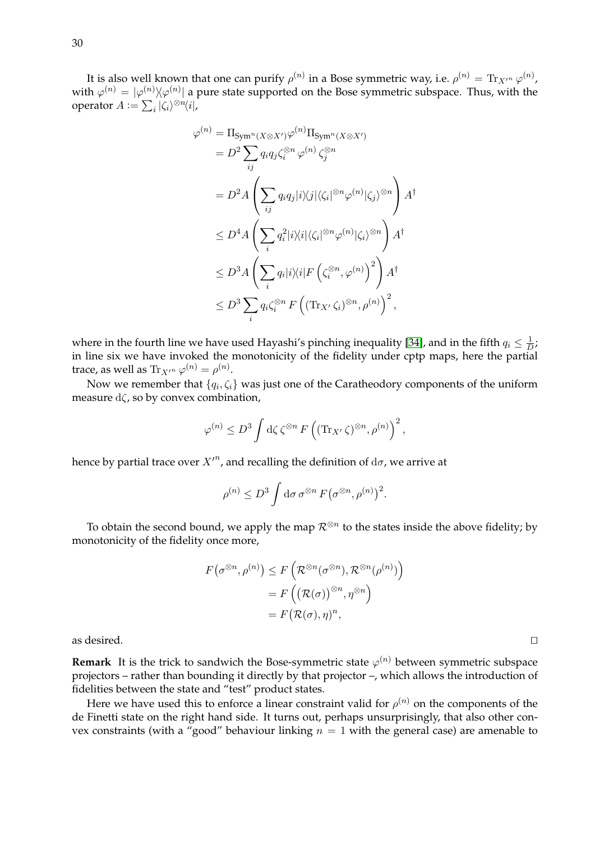It is also well known that one can purify  $\rho^{(n)}$  in a Bose symmetric way, i.e.  $\rho^{(n)}=\text{Tr}_{X'^n}\,\varphi^{(n)}$ , with  $\varphi^{(n)}=|\varphi^{(n)}\rangle\!\langle\varphi^{(n)}|$  a pure state supported on the Bose symmetric subspace. Thus, with the operator  $A := \sum_i |\zeta_i\rangle^{\otimes n} \langle i|,$ 

$$
\varphi^{(n)} = \Pi_{\text{Sym}^n(X \otimes X')} \varphi^{(n)} \Pi_{\text{Sym}^n(X \otimes X')}
$$
  
\n
$$
= D^2 \sum_{ij} q_i q_j \zeta_i^{\otimes n} \varphi^{(n)} \zeta_j^{\otimes n}
$$
  
\n
$$
= D^2 A \left( \sum_{ij} q_i q_j |i \rangle \langle j | \langle \zeta_i |^{\otimes n} \varphi^{(n)} | \zeta_j \rangle^{\otimes n} \right) A^{\dagger}
$$
  
\n
$$
\leq D^4 A \left( \sum_i q_i^2 |i \rangle \langle i | \langle \zeta_i |^{\otimes n} \varphi^{(n)} | \zeta_i \rangle^{\otimes n} \right) A^{\dagger}
$$
  
\n
$$
\leq D^3 A \left( \sum_i q_i |i \rangle \langle i | F \left( \zeta_i^{\otimes n}, \varphi^{(n)} \right)^2 \right) A^{\dagger}
$$
  
\n
$$
\leq D^3 \sum_i q_i \zeta_i^{\otimes n} F \left( (\text{Tr}_{X'} \zeta_i)^{\otimes n}, \rho^{(n)} \right)^2,
$$

where in the fourth line we have used Hayashi's pinching inequality [\[34\]](#page-32-23), and in the fifth  $q_i \leq \frac{1}{L}$  $\frac{1}{D}$ ; in line six we have invoked the monotonicity of the fidelity under cptp maps, here the partial trace, as well as  $\text{Tr}_{X'^n} \varphi^{(n)} = \rho^{(n)}$ .

Now we remember that  $\{q_i,\zeta_i\}$  was just one of the Caratheodory components of the uniform measure  $d\zeta$ , so by convex combination,

$$
\varphi^{(n)} \le D^3 \int d\zeta \, \zeta^{\otimes n} F\left( (\operatorname{Tr}_{X'} \zeta)^{\otimes n}, \rho^{(n)} \right)^2,
$$

hence by partial trace over  $X^{\prime n}$ , and recalling the definition of  $\mathrm{d}\sigma$ , we arrive at

$$
\rho^{(n)} \leq D^3 \int \mathrm{d}\sigma \,\sigma^{\otimes n} F(\sigma^{\otimes n}, \rho^{(n)})^2.
$$

To obtain the second bound, we apply the map  $\mathcal{R}^{\otimes n}$  to the states inside the above fidelity; by monotonicity of the fidelity once more,

$$
F(\sigma^{\otimes n}, \rho^{(n)}) \le F\left(\mathcal{R}^{\otimes n}(\sigma^{\otimes n}), \mathcal{R}^{\otimes n}(\rho^{(n)})\right)
$$

$$
= F\left(\left(\mathcal{R}(\sigma)\right)^{\otimes n}, \eta^{\otimes n}\right)
$$

$$
= F(\mathcal{R}(\sigma), \eta)^n,
$$

as desired.  $\Box$ 

**Remark** It is the trick to sandwich the Bose-symmetric state  $\varphi^{(n)}$  between symmetric subspace projectors – rather than bounding it directly by that projector –, which allows the introduction of fidelities between the state and "test" product states.

Here we have used this to enforce a linear constraint valid for  $\rho^{(n)}$  on the components of the de Finetti state on the right hand side. It turns out, perhaps unsurprisingly, that also other convex constraints (with a "good" behaviour linking  $n = 1$  with the general case) are amenable to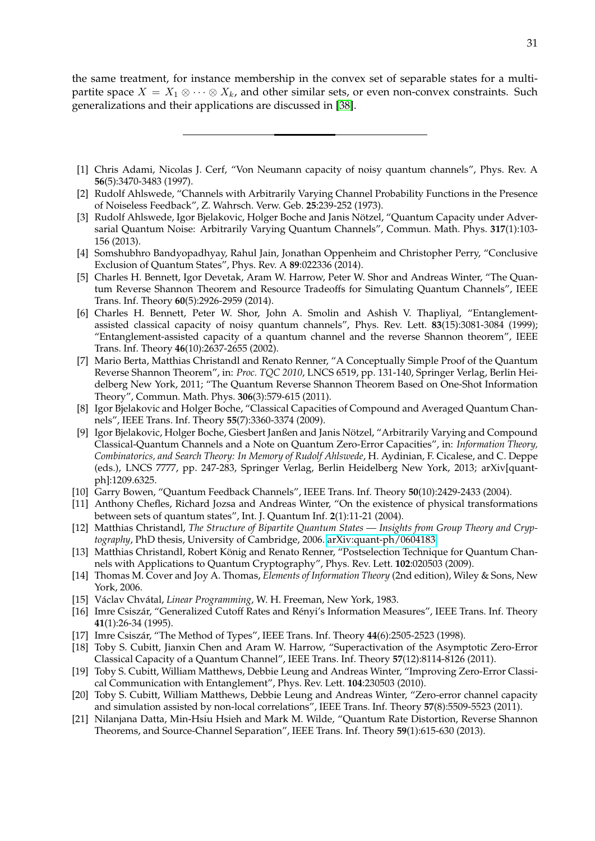<span id="page-31-0"></span>the same treatment, for instance membership in the convex set of separable states for a multipartite space  $X = X_1 \otimes \cdots \otimes X_k$ , and other similar sets, or even non-convex constraints. Such generalizations and their applications are discussed in [\[38\]](#page-32-24).

- <span id="page-31-16"></span>[1] Chris Adami, Nicolas J. Cerf, "Von Neumann capacity of noisy quantum channels", Phys. Rev. A **56**(5):3470-3483 (1997).
- <span id="page-31-10"></span>[2] Rudolf Ahlswede, "Channels with Arbitrarily Varying Channel Probability Functions in the Presence of Noiseless Feedback", Z. Wahrsch. Verw. Geb. **25**:239-252 (1973).
- <span id="page-31-20"></span>[3] Rudolf Ahlswede, Igor Bjelakovic, Holger Boche and Janis Nötzel, "Quantum Capacity under Adversarial Quantum Noise: Arbitrarily Varying Quantum Channels", Commun. Math. Phys. **317**(1):103- 156 (2013).
- <span id="page-31-7"></span>[4] Somshubhro Bandyopadhyay, Rahul Jain, Jonathan Oppenheim and Christopher Perry, "Conclusive Exclusion of Quantum States", Phys. Rev. A **89**:022336 (2014).
- <span id="page-31-5"></span>[5] Charles H. Bennett, Igor Devetak, Aram W. Harrow, Peter W. Shor and Andreas Winter, "The Quantum Reverse Shannon Theorem and Resource Tradeoffs for Simulating Quantum Channels", IEEE Trans. Inf. Theory **60**(5):2926-2959 (2014).
- <span id="page-31-11"></span>[6] Charles H. Bennett, Peter W. Shor, John A. Smolin and Ashish V. Thapliyal, "Entanglementassisted classical capacity of noisy quantum channels", Phys. Rev. Lett. **83**(15):3081-3084 (1999); "Entanglement-assisted capacity of a quantum channel and the reverse Shannon theorem", IEEE Trans. Inf. Theory **46**(10):2637-2655 (2002).
- <span id="page-31-15"></span>[7] Mario Berta, Matthias Christandl and Renato Renner, "A Conceptually Simple Proof of the Quantum Reverse Shannon Theorem", in: *Proc. TQC 2010*, LNCS 6519, pp. 131-140, Springer Verlag, Berlin Heidelberg New York, 2011; "The Quantum Reverse Shannon Theorem Based on One-Shot Information Theory", Commun. Math. Phys. **306**(3):579-615 (2011).
- <span id="page-31-18"></span>[8] Igor Bjelakovic and Holger Boche, "Classical Capacities of Compound and Averaged Quantum Channels", IEEE Trans. Inf. Theory **55**(7):3360-3374 (2009).
- <span id="page-31-19"></span>[9] Igor Bjelakovic, Holger Boche, Giesbert Janßen and Janis Nötzel, "Arbitrarily Varying and Compound Classical-Quantum Channels and a Note on Quantum Zero-Error Capacities", in: *Information Theory, Combinatorics, and Search Theory: In Memory of Rudolf Ahlswede*, H. Aydinian, F. Cicalese, and C. Deppe (eds.), LNCS 7777, pp. 247-283, Springer Verlag, Berlin Heidelberg New York, 2013; arXiv[quantph]:1209.6325.
- <span id="page-31-14"></span>[10] Garry Bowen, "Quantum Feedback Channels", IEEE Trans. Inf. Theory **50**(10):2429-2433 (2004).
- <span id="page-31-6"></span>[11] Anthony Chefles, Richard Jozsa and Andreas Winter, "On the existence of physical transformations between sets of quantum states", Int. J. Quantum Inf. **2**(1):11-21 (2004).
- <span id="page-31-8"></span>[12] Matthias Christandl, *The Structure of Bipartite Quantum States — Insights from Group Theory and Cryptography*, PhD thesis, University of Cambridge, 2006. [arXiv:quant-ph/0604183.](http://arxiv.org/abs/quant-ph/0604183)
- <span id="page-31-21"></span>[13] Matthias Christandl, Robert König and Renato Renner, "Postselection Technique for Quantum Channels with Applications to Quantum Cryptography", Phys. Rev. Lett. **102**:020503 (2009).
- <span id="page-31-1"></span>[14] Thomas M. Cover and Joy A. Thomas, *Elements of Information Theory* (2nd edition), Wiley & Sons, New York, 2006.
- <span id="page-31-12"></span>[15] Václav Chvátal, Linear Programming, W. H. Freeman, New York, 1983.
- <span id="page-31-13"></span>[16] Imre Csiszár, "Generalized Cutoff Rates and Rényi's Information Measures", IEEE Trans. Inf. Theory **41**(1):26-34 (1995).
- <span id="page-31-9"></span>[17] Imre Csiszár, "The Method of Types", IEEE Trans. Inf. Theory 44(6):2505-2523 (1998).
- <span id="page-31-3"></span>[18] Toby S. Cubitt, Jianxin Chen and Aram W. Harrow, "Superactivation of the Asymptotic Zero-Error Classical Capacity of a Quantum Channel", IEEE Trans. Inf. Theory **57**(12):8114-8126 (2011).
- <span id="page-31-4"></span>[19] Toby S. Cubitt, William Matthews, Debbie Leung and Andreas Winter, "Improving Zero-Error Classical Communication with Entanglement", Phys. Rev. Lett. **104**:230503 (2010).
- <span id="page-31-2"></span>[20] Toby S. Cubitt, William Matthews, Debbie Leung and Andreas Winter, "Zero-error channel capacity and simulation assisted by non-local correlations", IEEE Trans. Inf. Theory **57**(8):5509-5523 (2011).
- <span id="page-31-17"></span>[21] Nilanjana Datta, Min-Hsiu Hsieh and Mark M. Wilde, "Quantum Rate Distortion, Reverse Shannon Theorems, and Source-Channel Separation", IEEE Trans. Inf. Theory **59**(1):615-630 (2013).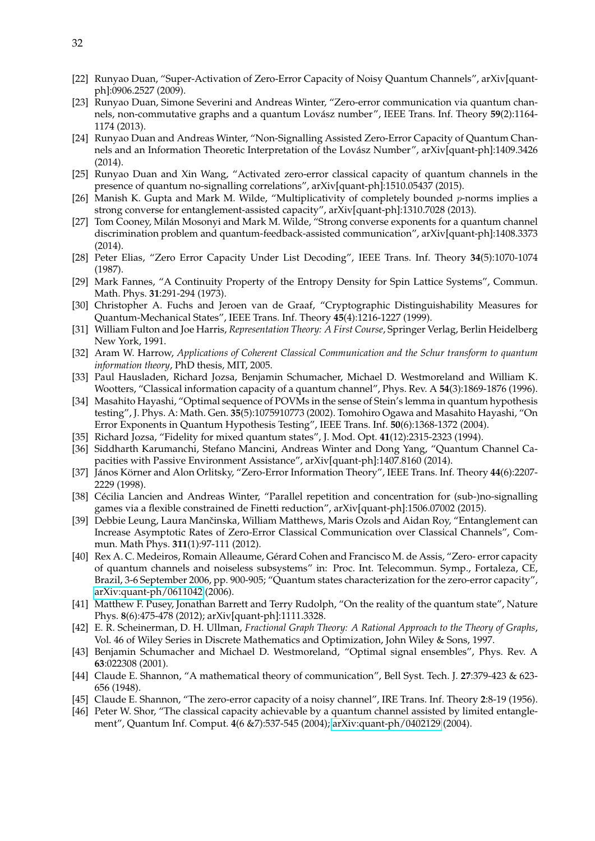- <span id="page-32-4"></span>[22] Runyao Duan, "Super-Activation of Zero-Error Capacity of Noisy Quantum Channels", arXiv[quantph]:0906.2527 (2009).
- <span id="page-32-6"></span>[23] Runyao Duan, Simone Severini and Andreas Winter, "Zero-error communication via quantum channels, non-commutative graphs and a quantum Lovász number", IEEE Trans. Inf. Theory  $59(2):1164$ -1174 (2013).
- <span id="page-32-7"></span>[24] Runyao Duan and Andreas Winter, "Non-Signalling Assisted Zero-Error Capacity of Quantum Channels and an Information Theoretic Interpretation of the Lovász Number", arXiv[quant-ph]:1409.3426 (2014).
- <span id="page-32-8"></span>[25] Runyao Duan and Xin Wang, "Activated zero-error classical capacity of quantum channels in the presence of quantum no-signalling correlations", arXiv[quant-ph]:1510.05437 (2015).
- <span id="page-32-18"></span>[26] Manish K. Gupta and Mark M. Wilde, "Multiplicativity of completely bounded  $p$ -norms implies a strong converse for entanglement-assisted capacity", arXiv[quant-ph]:1310.7028 (2013).
- <span id="page-32-19"></span>[27] Tom Cooney, Milán Mosonyi and Mark M. Wilde, "Strong converse exponents for a quantum channel discrimination problem and quantum-feedback-assisted communication", arXiv[quant-ph]:1408.3373 (2014).
- <span id="page-32-10"></span>[28] Peter Elias, "Zero Error Capacity Under List Decoding", IEEE Trans. Inf. Theory **34**(5):1070-1074 (1987).
- <span id="page-32-16"></span>[29] Mark Fannes, "A Continuity Property of the Entropy Density for Spin Lattice Systems", Commun. Math. Phys. **31**:291-294 (1973).
- <span id="page-32-21"></span>[30] Christopher A. Fuchs and Jeroen van de Graaf, "Cryptographic Distinguishability Measures for Quantum-Mechanical States", IEEE Trans. Inf. Theory **45**(4):1216-1227 (1999).
- <span id="page-32-12"></span>[31] William Fulton and Joe Harris, *Representation Theory: A First Course*, Springer Verlag, Berlin Heidelberg New York, 1991.
- <span id="page-32-13"></span>[32] Aram W. Harrow, *Applications of Coherent Classical Communication and the Schur transform to quantum information theory*, PhD thesis, MIT, 2005.
- <span id="page-32-15"></span>[33] Paul Hausladen, Richard Jozsa, Benjamin Schumacher, Michael D. Westmoreland and William K. Wootters, "Classical information capacity of a quantum channel", Phys. Rev. A **54**(3):1869-1876 (1996).
- <span id="page-32-23"></span>[34] Masahito Hayashi, "Optimal sequence of POVMs in the sense of Stein's lemma in quantum hypothesis testing", J. Phys. A: Math. Gen. **35**(5):1075910773 (2002). Tomohiro Ogawa and Masahito Hayashi, "On Error Exponents in Quantum Hypothesis Testing", IEEE Trans. Inf. **50**(6):1368-1372 (2004).
- <span id="page-32-22"></span>[35] Richard Jozsa, "Fidelity for mixed quantum states", J. Mod. Opt. **41**(12):2315-2323 (1994).
- <span id="page-32-20"></span>[36] Siddharth Karumanchi, Stefano Mancini, Andreas Winter and Dong Yang, "Quantum Channel Capacities with Passive Environment Assistance", arXiv[quant-ph]:1407.8160 (2014).
- <span id="page-32-1"></span>[37] János Körner and Alon Orlitsky, "Zero-Error Information Theory", IEEE Trans. Inf. Theory 44(6):2207-2229 (1998).
- <span id="page-32-24"></span>[38] Cécilia Lancien and Andreas Winter, "Parallel repetition and concentration for (sub-)no-signalling games via a flexible constrained de Finetti reduction", arXiv[quant-ph]:1506.07002 (2015).
- <span id="page-32-5"></span>[39] Debbie Leung, Laura Mančinska, William Matthews, Maris Ozols and Aidan Roy, "Entanglement can Increase Asymptotic Rates of Zero-Error Classical Communication over Classical Channels", Commun. Math Phys. **311**(1):97-111 (2012).
- <span id="page-32-3"></span>[40] Rex A. C. Medeiros, Romain Alleaume, Gerard Cohen and Francisco M. de Assis, "Zero- error capacity ´ of quantum channels and noiseless subsystems" in: Proc. Int. Telecommun. Symp., Fortaleza, CE, Brazil, 3-6 September 2006, pp. 900-905; "Quantum states characterization for the zero-error capacity", [arXiv:quant-ph/0611042](http://arxiv.org/abs/quant-ph/0611042) (2006).
- <span id="page-32-11"></span>[41] Matthew F. Pusey, Jonathan Barrett and Terry Rudolph, "On the reality of the quantum state", Nature Phys. **8**(6):475-478 (2012); arXiv[quant-ph]:1111.3328.
- <span id="page-32-9"></span>[42] E. R. Scheinerman, D. H. Ullman, *Fractional Graph Theory: A Rational Approach to the Theory of Graphs*, Vol. 46 of Wiley Series in Discrete Mathematics and Optimization, John Wiley & Sons, 1997.
- <span id="page-32-14"></span>[43] Benjamin Schumacher and Michael D. Westmoreland, "Optimal signal ensembles", Phys. Rev. A **63**:022308 (2001).
- <span id="page-32-0"></span>[44] Claude E. Shannon, "A mathematical theory of communication", Bell Syst. Tech. J. **27**:379-423 & 623- 656 (1948).
- <span id="page-32-2"></span>[45] Claude E. Shannon, "The zero-error capacity of a noisy channel", IRE Trans. Inf. Theory **2**:8-19 (1956).
- <span id="page-32-17"></span>[46] Peter W. Shor, "The classical capacity achievable by a quantum channel assisted by limited entanglement", Quantum Inf. Comput. **4**(6 &7):537-545 (2004); [arXiv:quant-ph/0402129](http://arxiv.org/abs/quant-ph/0402129) (2004).